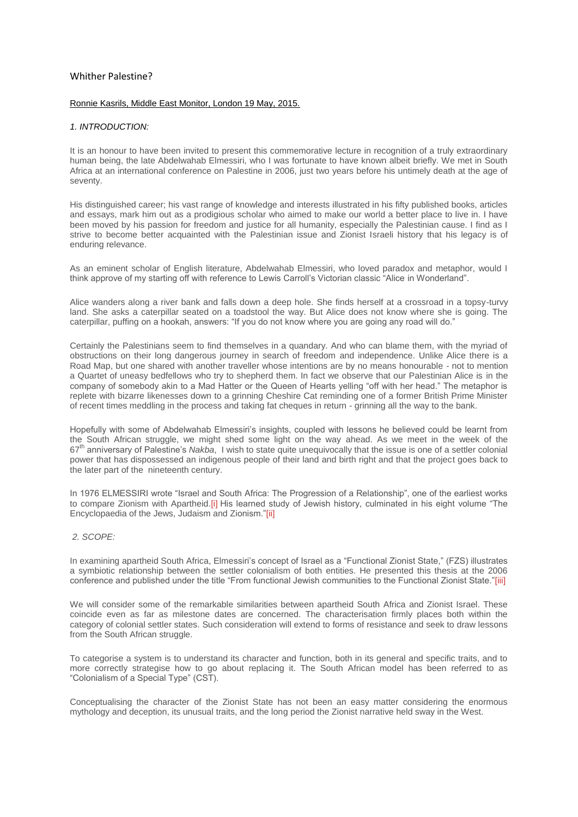### Whither Palestine?

#### Ronnie Kasrils, Middle East Monitor, London 19 May, 2015.

#### *1. INTRODUCTION:*

It is an honour to have been invited to present this commemorative lecture in recognition of a truly extraordinary human being, the late Abdelwahab Elmessiri, who I was fortunate to have known albeit briefly. We met in South Africa at an international conference on Palestine in 2006, just two years before his untimely death at the age of seventy.

His distinguished career; his vast range of knowledge and interests illustrated in his fifty published books, articles and essays, mark him out as a prodigious scholar who aimed to make our world a better place to live in. I have been moved by his passion for freedom and justice for all humanity, especially the Palestinian cause. I find as I strive to become better acquainted with the Palestinian issue and Zionist Israeli history that his legacy is of enduring relevance.

As an eminent scholar of English literature, Abdelwahab Elmessiri, who loved paradox and metaphor, would I think approve of my starting off with reference to Lewis Carroll's Victorian classic "Alice in Wonderland".

Alice wanders along a river bank and falls down a deep hole. She finds herself at a crossroad in a topsy-turvy land. She asks a caterpillar seated on a toadstool the way. But Alice does not know where she is going. The caterpillar, puffing on a hookah, answers: "If you do not know where you are going any road will do."

Certainly the Palestinians seem to find themselves in a quandary. And who can blame them, with the myriad of obstructions on their long dangerous journey in search of freedom and independence. Unlike Alice there is a Road Map, but one shared with another traveller whose intentions are by no means honourable - not to mention a Quartet of uneasy bedfellows who try to shepherd them. In fact we observe that our Palestinian Alice is in the company of somebody akin to a Mad Hatter or the Queen of Hearts yelling "off with her head." The metaphor is replete with bizarre likenesses down to a grinning Cheshire Cat reminding one of a former British Prime Minister of recent times meddling in the process and taking fat cheques in return - grinning all the way to the bank.

Hopefully with some of Abdelwahab Elmessiri's insights, coupled with lessons he believed could be learnt from the South African struggle, we might shed some light on the way ahead. As we meet in the week of the 67th anniversary of Palestine's *Nakba*, I wish to state quite unequivocally that the issue is one of a settler colonial power that has dispossessed an indigenous people of their land and birth right and that the project goes back to the later part of the nineteenth century.

In 1976 ELMESSIRI wrote "Israel and South Africa: The Progression of a Relationship", one of the earliest works to compare Zionism with Apartheid[.\[i\]](file:///C:/Users/Gunda/AppData/Local/Microsoft/Windows/Temporary%20Internet%20Files/Content.Outlook/JKFQ5PMT/MEMO%20EDIT%20WHITHER%20PALESTINE.docx%23_edn1) His learned study of Jewish history, culminated in his eight volume "The Encyclopaedia of the Jews, Judaism and Zionism.["\[ii\]](file:///C:/Users/Gunda/AppData/Local/Microsoft/Windows/Temporary%20Internet%20Files/Content.Outlook/JKFQ5PMT/MEMO%20EDIT%20WHITHER%20PALESTINE.docx%23_edn2)

### *2. SCOPE:*

In examining apartheid South Africa, Elmessiri's concept of Israel as a "Functional Zionist State," (FZS) illustrates a symbiotic relationship between the settler colonialism of both entities. He presented this thesis at the 2006 conference and published under the title "From functional Jewish communities to the Functional Zionist State.["\[iii\]](file:///C:/Users/Gunda/AppData/Local/Microsoft/Windows/Temporary%20Internet%20Files/Content.Outlook/JKFQ5PMT/MEMO%20EDIT%20WHITHER%20PALESTINE.docx%23_edn3)

We will consider some of the remarkable similarities between apartheid South Africa and Zionist Israel. These coincide even as far as milestone dates are concerned. The characterisation firmly places both within the category of colonial settler states. Such consideration will extend to forms of resistance and seek to draw lessons from the South African struggle.

To categorise a system is to understand its character and function, both in its general and specific traits, and to more correctly strategise how to go about replacing it. The South African model has been referred to as "Colonialism of a Special Type" (CST).

Conceptualising the character of the Zionist State has not been an easy matter considering the enormous mythology and deception, its unusual traits, and the long period the Zionist narrative held sway in the West.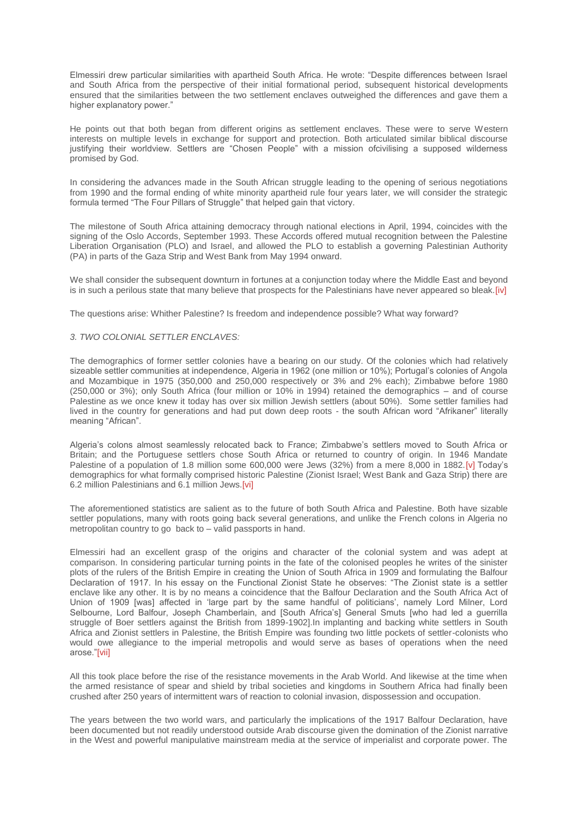Elmessiri drew particular similarities with apartheid South Africa. He wrote: "Despite differences between Israel and South Africa from the perspective of their initial formational period, subsequent historical developments ensured that the similarities between the two settlement enclaves outweighed the differences and gave them a higher explanatory power."

He points out that both began from different origins as settlement enclaves. These were to serve Western interests on multiple levels in exchange for support and protection. Both articulated similar biblical discourse justifying their worldview. Settlers are "Chosen People" with a mission ofcivilising a supposed wilderness promised by God.

In considering the advances made in the South African struggle leading to the opening of serious negotiations from 1990 and the formal ending of white minority apartheid rule four years later, we will consider the strategic formula termed "The Four Pillars of Struggle" that helped gain that victory.

The milestone of South Africa attaining democracy through national elections in April, 1994, coincides with the signing of the Oslo Accords, September 1993. These Accords offered mutual recognition between the Palestine Liberation Organisation (PLO) and Israel, and allowed the PLO to establish a governing Palestinian Authority (PA) in parts of the Gaza Strip and West Bank from May 1994 onward.

We shall consider the subsequent downturn in fortunes at a conjunction today where the Middle East and beyond is in such a perilous state that many believe that prospects for the Palestinians have never appeared so bleak[.\[iv\]](file:///C:/Users/Gunda/AppData/Local/Microsoft/Windows/Temporary%20Internet%20Files/Content.Outlook/JKFQ5PMT/MEMO%20EDIT%20WHITHER%20PALESTINE.docx%23_edn4)

The questions arise: Whither Palestine? Is freedom and independence possible? What way forward?

## *3. TWO COLONIAL SETTLER ENCLAVES:*

The demographics of former settler colonies have a bearing on our study. Of the colonies which had relatively sizeable settler communities at independence, Algeria in 1962 (one million or 10%); Portugal's colonies of Angola and Mozambique in 1975 (350,000 and 250,000 respectively or 3% and 2% each); Zimbabwe before 1980 (250,000 or 3%); only South Africa (four million or 10% in 1994) retained the demographics – and of course Palestine as we once knew it today has over six million Jewish settlers (about 50%). Some settler families had lived in the country for generations and had put down deep roots - the south African word "Afrikaner" literally meaning "African".

Algeria's colons almost seamlessly relocated back to France; Zimbabwe's settlers moved to South Africa or Britain; and the Portuguese settlers chose South Africa or returned to country of origin. In 1946 Mandate Palestine of a population of 1.8 million some 600,000 were Jews (32%) from a mere 8,000 in 1882[.\[v\]](file:///C:/Users/Gunda/AppData/Local/Microsoft/Windows/Temporary%20Internet%20Files/Content.Outlook/JKFQ5PMT/MEMO%20EDIT%20WHITHER%20PALESTINE.docx%23_edn5) Today's demographics for what formally comprised historic Palestine (Zionist Israel; West Bank and Gaza Strip) there are 6.2 million Palestinians and 6.1 million Jew[s.\[vi\]](file:///C:/Users/Gunda/AppData/Local/Microsoft/Windows/Temporary%20Internet%20Files/Content.Outlook/JKFQ5PMT/MEMO%20EDIT%20WHITHER%20PALESTINE.docx%23_edn6)

The aforementioned statistics are salient as to the future of both South Africa and Palestine. Both have sizable settler populations, many with roots going back several generations, and unlike the French colons in Algeria no metropolitan country to go back to – valid passports in hand.

Elmessiri had an excellent grasp of the origins and character of the colonial system and was adept at comparison. In considering particular turning points in the fate of the colonised peoples he writes of the sinister plots of the rulers of the British Empire in creating the Union of South Africa in 1909 and formulating the Balfour Declaration of 1917. In his essay on the Functional Zionist State he observes: "The Zionist state is a settler enclave like any other. It is by no means a coincidence that the Balfour Declaration and the South Africa Act of Union of 1909 [was] affected in 'large part by the same handful of politicians', namely Lord Milner, Lord Selbourne, Lord Balfour, Joseph Chamberlain, and [South Africa's] General Smuts [who had led a guerrilla struggle of Boer settlers against the British from 1899-1902].In implanting and backing white settlers in South Africa and Zionist settlers in Palestine, the British Empire was founding two little pockets of settler-colonists who would owe allegiance to the imperial metropolis and would serve as bases of operations when the need arose.["\[vii\]](file:///C:/Users/Gunda/AppData/Local/Microsoft/Windows/Temporary%20Internet%20Files/Content.Outlook/JKFQ5PMT/MEMO%20EDIT%20WHITHER%20PALESTINE.docx%23_edn7)

All this took place before the rise of the resistance movements in the Arab World. And likewise at the time when the armed resistance of spear and shield by tribal societies and kingdoms in Southern Africa had finally been crushed after 250 years of intermittent wars of reaction to colonial invasion, dispossession and occupation.

The years between the two world wars, and particularly the implications of the 1917 Balfour Declaration, have been documented but not readily understood outside Arab discourse given the domination of the Zionist narrative in the West and powerful manipulative mainstream media at the service of imperialist and corporate power. The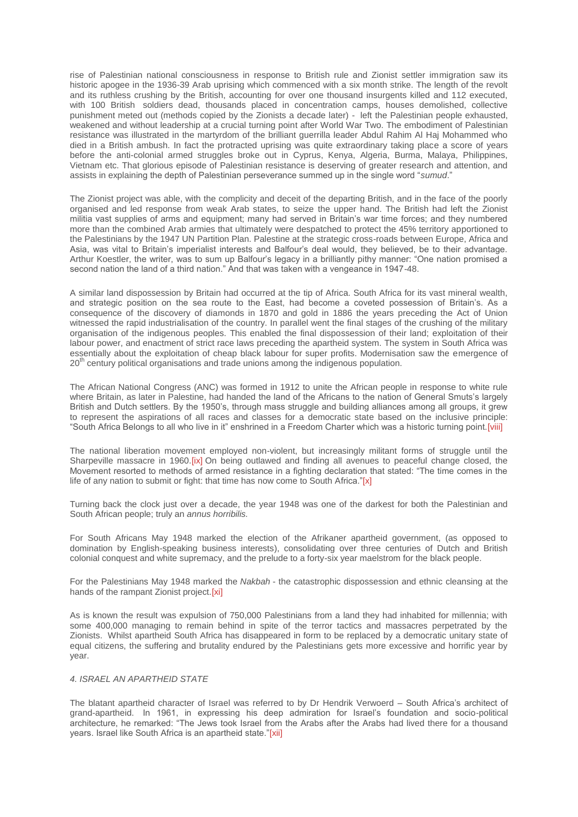rise of Palestinian national consciousness in response to British rule and Zionist settler immigration saw its historic apogee in the 1936-39 Arab uprising which commenced with a six month strike. The length of the revolt and its ruthless crushing by the British, accounting for over one thousand insurgents killed and 112 executed, with 100 British soldiers dead, thousands placed in concentration camps, houses demolished, collective punishment meted out (methods copied by the Zionists a decade later) - left the Palestinian people exhausted, weakened and without leadership at a crucial turning point after World War Two. The embodiment of Palestinian resistance was illustrated in the martyrdom of the brilliant guerrilla leader Abdul Rahim Al Haj Mohammed who died in a British ambush. In fact the protracted uprising was quite extraordinary taking place a score of years before the anti-colonial armed struggles broke out in Cyprus, Kenya, Algeria, Burma, Malaya, Philippines, Vietnam etc. That glorious episode of Palestinian resistance is deserving of greater research and attention, and assists in explaining the depth of Palestinian perseverance summed up in the single word "*sumud*."

The Zionist project was able, with the complicity and deceit of the departing British, and in the face of the poorly organised and led response from weak Arab states, to seize the upper hand. The British had left the Zionist militia vast supplies of arms and equipment; many had served in Britain's war time forces; and they numbered more than the combined Arab armies that ultimately were despatched to protect the 45% territory apportioned to the Palestinians by the 1947 UN Partition Plan. Palestine at the strategic cross-roads between Europe, Africa and Asia, was vital to Britain's imperialist interests and Balfour's deal would, they believed, be to their advantage. Arthur Koestler, the writer, was to sum up Balfour's legacy in a brilliantly pithy manner: "One nation promised a second nation the land of a third nation." And that was taken with a vengeance in 1947-48.

A similar land dispossession by Britain had occurred at the tip of Africa. South Africa for its vast mineral wealth, and strategic position on the sea route to the East, had become a coveted possession of Britain's. As a consequence of the discovery of diamonds in 1870 and gold in 1886 the years preceding the Act of Union witnessed the rapid industrialisation of the country. In parallel went the final stages of the crushing of the military organisation of the indigenous peoples. This enabled the final dispossession of their land; exploitation of their labour power, and enactment of strict race laws preceding the apartheid system. The system in South Africa was essentially about the exploitation of cheap black labour for super profits. Modernisation saw the emergence of 20<sup>th</sup> century political organisations and trade unions among the indigenous population.

The African National Congress (ANC) was formed in 1912 to unite the African people in response to white rule where Britain, as later in Palestine, had handed the land of the Africans to the nation of General Smuts's largely British and Dutch settlers. By the 1950's, through mass struggle and building alliances among all groups, it grew to represent the aspirations of all races and classes for a democratic state based on the inclusive principle: "South Africa Belongs to all who live in it" enshrined in a Freedom Charter which was a historic turning point[.\[viii\]](file:///C:/Users/Gunda/AppData/Local/Microsoft/Windows/Temporary%20Internet%20Files/Content.Outlook/JKFQ5PMT/MEMO%20EDIT%20WHITHER%20PALESTINE.docx%23_edn8)

The national liberation movement employed non-violent, but increasingly militant forms of struggle until the Sharpeville massacre in 1960[.\[ix\]](file:///C:/Users/Gunda/AppData/Local/Microsoft/Windows/Temporary%20Internet%20Files/Content.Outlook/JKFQ5PMT/MEMO%20EDIT%20WHITHER%20PALESTINE.docx%23_edn9) On being outlawed and finding all avenues to peaceful change closed, the Movement resorted to methods of armed resistance in a fighting declaration that stated: "The time comes in the life of any nation to submit or fight: that time has now come to South Africa.["\[x\]](file:///C:/Users/Gunda/AppData/Local/Microsoft/Windows/Temporary%20Internet%20Files/Content.Outlook/JKFQ5PMT/MEMO%20EDIT%20WHITHER%20PALESTINE.docx%23_edn10)

Turning back the clock just over a decade, the year 1948 was one of the darkest for both the Palestinian and South African people; truly an *annus horribilis.*

For South Africans May 1948 marked the election of the Afrikaner apartheid government, (as opposed to domination by English-speaking business interests), consolidating over three centuries of Dutch and British colonial conquest and white supremacy, and the prelude to a forty-six year maelstrom for the black people.

For the Palestinians May 1948 marked the *Nakbah* - the catastrophic dispossession and ethnic cleansing at the hands of the rampant Zionist project[.\[xi\]](file:///C:/Users/Gunda/AppData/Local/Microsoft/Windows/Temporary%20Internet%20Files/Content.Outlook/JKFQ5PMT/MEMO%20EDIT%20WHITHER%20PALESTINE.docx%23_edn11)

As is known the result was expulsion of 750,000 Palestinians from a land they had inhabited for millennia; with some 400,000 managing to remain behind in spite of the terror tactics and massacres perpetrated by the Zionists. Whilst apartheid South Africa has disappeared in form to be replaced by a democratic unitary state of equal citizens, the suffering and brutality endured by the Palestinians gets more excessive and horrific year by year.

#### *4. ISRAEL AN APARTHEID STATE*

The blatant apartheid character of Israel was referred to by Dr Hendrik Verwoerd – South Africa's architect of grand-apartheid. In 1961, in expressing his deep admiration for Israel's foundation and socio-political architecture, he remarked: "The Jews took Israel from the Arabs after the Arabs had lived there for a thousand years. Israel like South Africa is an apartheid state.["\[xii\]](file:///C:/Users/Gunda/AppData/Local/Microsoft/Windows/Temporary%20Internet%20Files/Content.Outlook/JKFQ5PMT/MEMO%20EDIT%20WHITHER%20PALESTINE.docx%23_edn12)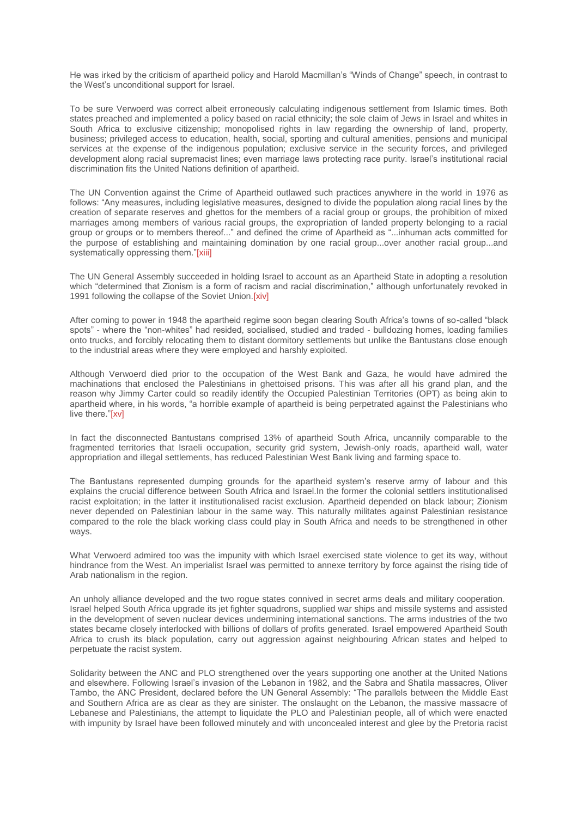He was irked by the criticism of apartheid policy and Harold Macmillan's "Winds of Change" speech, in contrast to the West's unconditional support for Israel.

To be sure Verwoerd was correct albeit erroneously calculating indigenous settlement from Islamic times. Both states preached and implemented a policy based on racial ethnicity; the sole claim of Jews in Israel and whites in South Africa to exclusive citizenship; monopolised rights in law regarding the ownership of land, property, business; privileged access to education, health, social, sporting and cultural amenities, pensions and municipal services at the expense of the indigenous population; exclusive service in the security forces, and privileged development along racial supremacist lines; even marriage laws protecting race purity. Israel's institutional racial discrimination fits the United Nations definition of apartheid.

The UN Convention against the Crime of Apartheid outlawed such practices anywhere in the world in 1976 as follows: "Any measures, including legislative measures, designed to divide the population along racial lines by the creation of separate reserves and ghettos for the members of a racial group or groups, the prohibition of mixed marriages among members of various racial groups, the expropriation of landed property belonging to a racial group or groups or to members thereof..." and defined the crime of Apartheid as "...inhuman acts committed for the purpose of establishing and maintaining domination by one racial group...over another racial group...and systematically oppressing them.["\[xiii\]](file:///C:/Users/Gunda/AppData/Local/Microsoft/Windows/Temporary%20Internet%20Files/Content.Outlook/JKFQ5PMT/MEMO%20EDIT%20WHITHER%20PALESTINE.docx%23_edn13)

The UN General Assembly succeeded in holding Israel to account as an Apartheid State in adopting a resolution which "determined that Zionism is a form of racism and racial discrimination," although unfortunately revoked in 1991 following the collapse of the Soviet Union[.\[xiv\]](file:///C:/Users/Gunda/AppData/Local/Microsoft/Windows/Temporary%20Internet%20Files/Content.Outlook/JKFQ5PMT/MEMO%20EDIT%20WHITHER%20PALESTINE.docx%23_edn14)

After coming to power in 1948 the apartheid regime soon began clearing South Africa's towns of so-called "black spots" - where the "non-whites" had resided, socialised, studied and traded - bulldozing homes, loading families onto trucks, and forcibly relocating them to distant dormitory settlements but unlike the Bantustans close enough to the industrial areas where they were employed and harshly exploited.

Although Verwoerd died prior to the occupation of the West Bank and Gaza, he would have admired the machinations that enclosed the Palestinians in ghettoised prisons. This was after all his grand plan, and the reason why Jimmy Carter could so readily identify the Occupied Palestinian Territories (OPT) as being akin to apartheid where, in his words, "a horrible example of apartheid is being perpetrated against the Palestinians who live there.["\[xv\]](file:///C:/Users/Gunda/AppData/Local/Microsoft/Windows/Temporary%20Internet%20Files/Content.Outlook/JKFQ5PMT/MEMO%20EDIT%20WHITHER%20PALESTINE.docx%23_edn15)

In fact the disconnected Bantustans comprised 13% of apartheid South Africa, uncannily comparable to the fragmented territories that Israeli occupation, security grid system, Jewish-only roads, apartheid wall, water appropriation and illegal settlements, has reduced Palestinian West Bank living and farming space to.

The Bantustans represented dumping grounds for the apartheid system's reserve army of labour and this explains the crucial difference between South Africa and Israel.In the former the colonial settlers institutionalised racist exploitation; in the latter it institutionalised racist exclusion. Apartheid depended on black labour; Zionism never depended on Palestinian labour in the same way. This naturally militates against Palestinian resistance compared to the role the black working class could play in South Africa and needs to be strengthened in other ways.

What Verwoerd admired too was the impunity with which Israel exercised state violence to get its way, without hindrance from the West. An imperialist Israel was permitted to annexe territory by force against the rising tide of Arab nationalism in the region.

An unholy alliance developed and the two rogue states connived in secret arms deals and military cooperation. Israel helped South Africa upgrade its jet fighter squadrons, supplied war ships and missile systems and assisted in the development of seven nuclear devices undermining international sanctions. The arms industries of the two states became closely interlocked with billions of dollars of profits generated. Israel empowered Apartheid South Africa to crush its black population, carry out aggression against neighbouring African states and helped to perpetuate the racist system.

Solidarity between the ANC and PLO strengthened over the years supporting one another at the United Nations and elsewhere. Following Israel's invasion of the Lebanon in 1982, and the Sabra and Shatila massacres, Oliver Tambo, the ANC President, declared before the UN General Assembly: "The parallels between the Middle East and Southern Africa are as clear as they are sinister. The onslaught on the Lebanon, the massive massacre of Lebanese and Palestinians, the attempt to liquidate the PLO and Palestinian people, all of which were enacted with impunity by Israel have been followed minutely and with unconcealed interest and glee by the Pretoria racist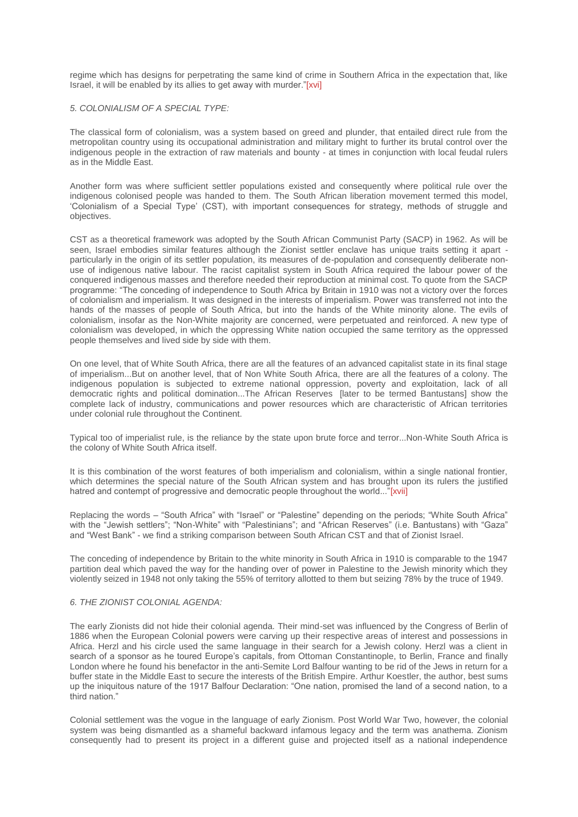regime which has designs for perpetrating the same kind of crime in Southern Africa in the expectation that, like Israel, it will be enabled by its allies to get away with murder.["\[xvi\]](file:///C:/Users/Gunda/AppData/Local/Microsoft/Windows/Temporary%20Internet%20Files/Content.Outlook/JKFQ5PMT/MEMO%20EDIT%20WHITHER%20PALESTINE.docx%23_edn16)

#### *5. COLONIALISM OF A SPECIAL TYPE:*

The classical form of colonialism, was a system based on greed and plunder, that entailed direct rule from the metropolitan country using its occupational administration and military might to further its brutal control over the indigenous people in the extraction of raw materials and bounty - at times in conjunction with local feudal rulers as in the Middle East.

Another form was where sufficient settler populations existed and consequently where political rule over the indigenous colonised people was handed to them. The South African liberation movement termed this model, 'Colonialism of a Special Type' (CST), with important consequences for strategy, methods of struggle and objectives.

CST as a theoretical framework was adopted by the South African Communist Party (SACP) in 1962. As will be seen, Israel embodies similar features although the Zionist settler enclave has unique traits setting it apart particularly in the origin of its settler population, its measures of de-population and consequently deliberate nonuse of indigenous native labour. The racist capitalist system in South Africa required the labour power of the conquered indigenous masses and therefore needed their reproduction at minimal cost. To quote from the SACP programme: "The conceding of independence to South Africa by Britain in 1910 was not a victory over the forces of colonialism and imperialism. It was designed in the interests of imperialism. Power was transferred not into the hands of the masses of people of South Africa, but into the hands of the White minority alone. The evils of colonialism, insofar as the Non-White majority are concerned, were perpetuated and reinforced. A new type of colonialism was developed, in which the oppressing White nation occupied the same territory as the oppressed people themselves and lived side by side with them.

On one level, that of White South Africa, there are all the features of an advanced capitalist state in its final stage of imperialism...But on another level, that of Non White South Africa, there are all the features of a colony. The indigenous population is subjected to extreme national oppression, poverty and exploitation, lack of all democratic rights and political domination...The African Reserves [later to be termed Bantustans] show the complete lack of industry, communications and power resources which are characteristic of African territories under colonial rule throughout the Continent.

Typical too of imperialist rule, is the reliance by the state upon brute force and terror...Non-White South Africa is the colony of White South Africa itself.

It is this combination of the worst features of both imperialism and colonialism, within a single national frontier, which determines the special nature of the South African system and has brought upon its rulers the justified hatred and contempt of progressive and democratic people throughout the world...["\[xvii\]](file:///C:/Users/Gunda/AppData/Local/Microsoft/Windows/Temporary%20Internet%20Files/Content.Outlook/JKFQ5PMT/MEMO%20EDIT%20WHITHER%20PALESTINE.docx%23_edn17)

Replacing the words – "South Africa" with "Israel" or "Palestine" depending on the periods; "White South Africa" with the "Jewish settlers"; "Non-White" with "Palestinians"; and "African Reserves" (i.e. Bantustans) with "Gaza" and "West Bank" - we find a striking comparison between South African CST and that of Zionist Israel.

The conceding of independence by Britain to the white minority in South Africa in 1910 is comparable to the 1947 partition deal which paved the way for the handing over of power in Palestine to the Jewish minority which they violently seized in 1948 not only taking the 55% of territory allotted to them but seizing 78% by the truce of 1949.

### *6. THE ZIONIST COLONIAL AGENDA:*

The early Zionists did not hide their colonial agenda. Their mind-set was influenced by the Congress of Berlin of 1886 when the European Colonial powers were carving up their respective areas of interest and possessions in Africa. Herzl and his circle used the same language in their search for a Jewish colony. Herzl was a client in search of a sponsor as he toured Europe's capitals, from Ottoman Constantinople, to Berlin, France and finally London where he found his benefactor in the anti-Semite Lord Balfour wanting to be rid of the Jews in return for a buffer state in the Middle East to secure the interests of the British Empire. Arthur Koestler, the author, best sums up the iniquitous nature of the 1917 Balfour Declaration: "One nation, promised the land of a second nation, to a third nation."

Colonial settlement was the vogue in the language of early Zionism. Post World War Two, however, the colonial system was being dismantled as a shameful backward infamous legacy and the term was anathema. Zionism consequently had to present its project in a different guise and projected itself as a national independence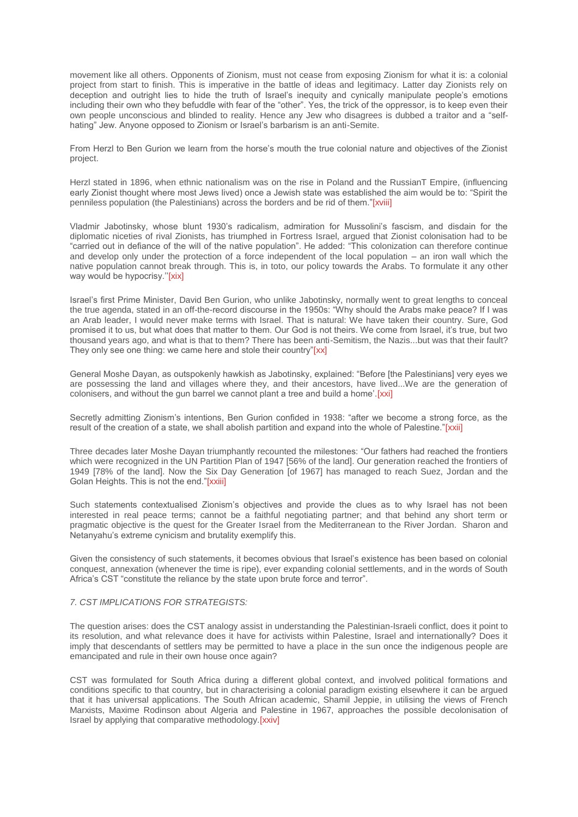movement like all others. Opponents of Zionism, must not cease from exposing Zionism for what it is: a colonial project from start to finish. This is imperative in the battle of ideas and legitimacy. Latter day Zionists rely on deception and outright lies to hide the truth of Israel's inequity and cynically manipulate people's emotions including their own who they befuddle with fear of the "other". Yes, the trick of the oppressor, is to keep even their own people unconscious and blinded to reality. Hence any Jew who disagrees is dubbed a traitor and a "selfhating" Jew. Anyone opposed to Zionism or Israel's barbarism is an anti-Semite.

From Herzl to Ben Gurion we learn from the horse's mouth the true colonial nature and objectives of the Zionist project.

Herzl stated in 1896, when ethnic nationalism was on the rise in Poland and the RussianT Empire, (influencing early Zionist thought where most Jews lived) once a Jewish state was established the aim would be to: "Spirit the penniless population (the Palestinians) across the borders and be rid of them.["\[xviii\]](file:///C:/Users/Gunda/AppData/Local/Microsoft/Windows/Temporary%20Internet%20Files/Content.Outlook/JKFQ5PMT/MEMO%20EDIT%20WHITHER%20PALESTINE.docx%23_edn18)

Vladmir Jabotinsky, whose blunt 1930's radicalism, admiration for Mussolini's fascism, and disdain for the diplomatic niceties of rival Zionists, has triumphed in Fortress Israel, argued that Zionist colonisation had to be "carried out in defiance of the will of the native population". He added: "This colonization can therefore continue and develop only under the protection of a force independent of the local population – an iron wall which the native population cannot break through. This is, in toto, our policy towards the Arabs. To formulate it any other way would be hypocrisy.[''\[xix\]](file:///C:/Users/Gunda/AppData/Local/Microsoft/Windows/Temporary%20Internet%20Files/Content.Outlook/JKFQ5PMT/MEMO%20EDIT%20WHITHER%20PALESTINE.docx%23_edn19)

Israel's first Prime Minister, David Ben Gurion, who unlike Jabotinsky, normally went to great lengths to conceal the true agenda, stated in an off-the-record discourse in the 1950s: "Why should the Arabs make peace? If I was an Arab leader, I would never make terms with Israel. That is natural: We have taken their country. Sure, God promised it to us, but what does that matter to them. Our God is not theirs. We come from Israel, it's true, but two thousand years ago, and what is that to them? There has been anti-Semitism, the Nazis...but was that their fault? They only see one thing: we came here and stole their country["\[xx\]](file:///C:/Users/Gunda/AppData/Local/Microsoft/Windows/Temporary%20Internet%20Files/Content.Outlook/JKFQ5PMT/MEMO%20EDIT%20WHITHER%20PALESTINE.docx%23_edn20)

General Moshe Dayan, as outspokenly hawkish as Jabotinsky, explained: "Before [the Palestinians] very eyes we are possessing the land and villages where they, and their ancestors, have lived...We are the generation of colonisers, and without the gun barrel we cannot plant a tree and build a home'[.\[xxi\]](file:///C:/Users/Gunda/AppData/Local/Microsoft/Windows/Temporary%20Internet%20Files/Content.Outlook/JKFQ5PMT/MEMO%20EDIT%20WHITHER%20PALESTINE.docx%23_edn21)

Secretly admitting Zionism's intentions, Ben Gurion confided in 1938: "after we become a strong force, as the result of the creation of a state, we shall abolish partition and expand into the whole of Palestine.["\[xxii\]](file:///C:/Users/Gunda/AppData/Local/Microsoft/Windows/Temporary%20Internet%20Files/Content.Outlook/JKFQ5PMT/MEMO%20EDIT%20WHITHER%20PALESTINE.docx%23_edn22)

Three decades later Moshe Dayan triumphantly recounted the milestones: "Our fathers had reached the frontiers which were recognized in the UN Partition Plan of 1947 [56% of the land]. Our generation reached the frontiers of 1949 [78% of the land]. Now the Six Day Generation [of 1967] has managed to reach Suez, Jordan and the Golan Heights. This is not the end.["\[xxiii\]](file:///C:/Users/Gunda/AppData/Local/Microsoft/Windows/Temporary%20Internet%20Files/Content.Outlook/JKFQ5PMT/MEMO%20EDIT%20WHITHER%20PALESTINE.docx%23_edn23)

Such statements contextualised Zionism's objectives and provide the clues as to why Israel has not been interested in real peace terms; cannot be a faithful negotiating partner; and that behind any short term or pragmatic objective is the quest for the Greater Israel from the Mediterranean to the River Jordan. Sharon and Netanyahu's extreme cynicism and brutality exemplify this.

Given the consistency of such statements, it becomes obvious that Israel's existence has been based on colonial conquest, annexation (whenever the time is ripe), ever expanding colonial settlements, and in the words of South Africa's CST "constitute the reliance by the state upon brute force and terror".

### *7. CST IMPLICATIONS FOR STRATEGISTS:*

The question arises: does the CST analogy assist in understanding the Palestinian-Israeli conflict, does it point to its resolution, and what relevance does it have for activists within Palestine, Israel and internationally? Does it imply that descendants of settlers may be permitted to have a place in the sun once the indigenous people are emancipated and rule in their own house once again?

CST was formulated for South Africa during a different global context, and involved political formations and conditions specific to that country, but in characterising a colonial paradigm existing elsewhere it can be argued that it has universal applications. The South African academic, Shamil Jeppie, in utilising the views of French Marxists, Maxime Rodinson about Algeria and Palestine in 1967, approaches the possible decolonisation of Israel by applying that comparative methodolog[y.\[xxiv\]](file:///C:/Users/Gunda/AppData/Local/Microsoft/Windows/Temporary%20Internet%20Files/Content.Outlook/JKFQ5PMT/MEMO%20EDIT%20WHITHER%20PALESTINE.docx%23_edn24)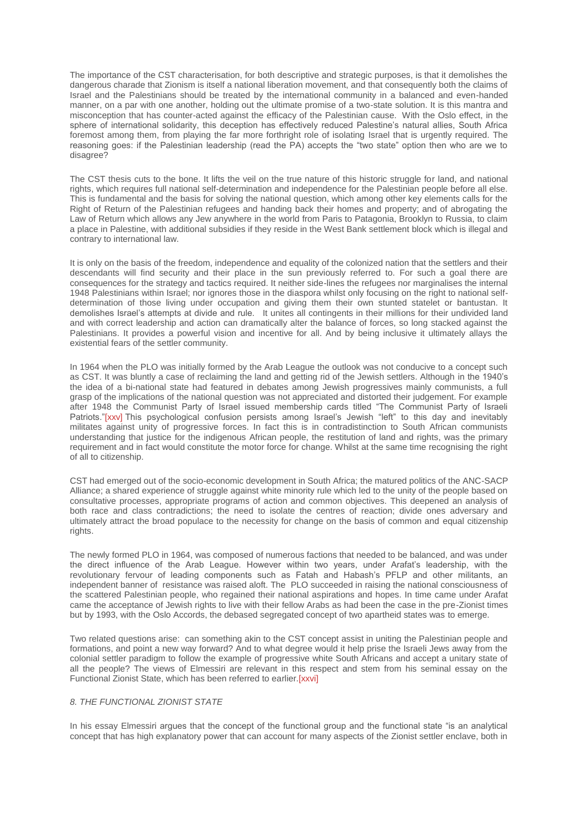The importance of the CST characterisation, for both descriptive and strategic purposes, is that it demolishes the dangerous charade that Zionism is itself a national liberation movement, and that consequently both the claims of Israel and the Palestinians should be treated by the international community in a balanced and even-handed manner, on a par with one another, holding out the ultimate promise of a two-state solution. It is this mantra and misconception that has counter-acted against the efficacy of the Palestinian cause. With the Oslo effect, in the sphere of international solidarity, this deception has effectively reduced Palestine's natural allies, South Africa foremost among them, from playing the far more forthright role of isolating Israel that is urgently required. The reasoning goes: if the Palestinian leadership (read the PA) accepts the "two state" option then who are we to disagree?

The CST thesis cuts to the bone. It lifts the veil on the true nature of this historic struggle for land, and national rights, which requires full national self-determination and independence for the Palestinian people before all else. This is fundamental and the basis for solving the national question, which among other key elements calls for the Right of Return of the Palestinian refugees and handing back their homes and property; and of abrogating the Law of Return which allows any Jew anywhere in the world from Paris to Patagonia, Brooklyn to Russia, to claim a place in Palestine, with additional subsidies if they reside in the West Bank settlement block which is illegal and contrary to international law.

It is only on the basis of the freedom, independence and equality of the colonized nation that the settlers and their descendants will find security and their place in the sun previously referred to. For such a goal there are consequences for the strategy and tactics required. It neither side-lines the refugees nor marginalises the internal 1948 Palestinians within Israel; nor ignores those in the diaspora whilst only focusing on the right to national selfdetermination of those living under occupation and giving them their own stunted statelet or bantustan. It demolishes Israel's attempts at divide and rule. It unites all contingents in their millions for their undivided land and with correct leadership and action can dramatically alter the balance of forces, so long stacked against the Palestinians. It provides a powerful vision and incentive for all. And by being inclusive it ultimately allays the existential fears of the settler community.

In 1964 when the PLO was initially formed by the Arab League the outlook was not conducive to a concept such as CST. It was bluntly a case of reclaiming the land and getting rid of the Jewish settlers. Although in the 1940's the idea of a bi-national state had featured in debates among Jewish progressives mainly communists, a full grasp of the implications of the national question was not appreciated and distorted their judgement. For example after 1948 the Communist Party of Israel issued membership cards titled "The Communist Party of Israeli Patriots.["\[xxv\]](file:///C:/Users/Gunda/AppData/Local/Microsoft/Windows/Temporary%20Internet%20Files/Content.Outlook/JKFQ5PMT/MEMO%20EDIT%20WHITHER%20PALESTINE.docx%23_edn25) This psychological confusion persists among Israel's Jewish "left" to this day and inevitably militates against unity of progressive forces. In fact this is in contradistinction to South African communists understanding that justice for the indigenous African people, the restitution of land and rights, was the primary requirement and in fact would constitute the motor force for change. Whilst at the same time recognising the right of all to citizenship.

CST had emerged out of the socio-economic development in South Africa; the matured politics of the ANC-SACP Alliance; a shared experience of struggle against white minority rule which led to the unity of the people based on consultative processes, appropriate programs of action and common objectives. This deepened an analysis of both race and class contradictions; the need to isolate the centres of reaction; divide ones adversary and ultimately attract the broad populace to the necessity for change on the basis of common and equal citizenship rights.

The newly formed PLO in 1964, was composed of numerous factions that needed to be balanced, and was under the direct influence of the Arab League. However within two years, under Arafat's leadership, with the revolutionary fervour of leading components such as Fatah and Habash's PFLP and other militants, an independent banner of resistance was raised aloft. The PLO succeeded in raising the national consciousness of the scattered Palestinian people, who regained their national aspirations and hopes. In time came under Arafat came the acceptance of Jewish rights to live with their fellow Arabs as had been the case in the pre-Zionist times but by 1993, with the Oslo Accords, the debased segregated concept of two apartheid states was to emerge.

Two related questions arise: can something akin to the CST concept assist in uniting the Palestinian people and formations, and point a new way forward? And to what degree would it help prise the Israeli Jews away from the colonial settler paradigm to follow the example of progressive white South Africans and accept a unitary state of all the people? The views of Elmessiri are relevant in this respect and stem from his seminal essay on the Functional Zionist State, which has been referred to earlie[r.\[xxvi\]](file:///C:/Users/Gunda/AppData/Local/Microsoft/Windows/Temporary%20Internet%20Files/Content.Outlook/JKFQ5PMT/MEMO%20EDIT%20WHITHER%20PALESTINE.docx%23_edn26)

## *8. THE FUNCTIONAL ZIONIST STATE*

In his essay Elmessiri argues that the concept of the functional group and the functional state "is an analytical concept that has high explanatory power that can account for many aspects of the Zionist settler enclave, both in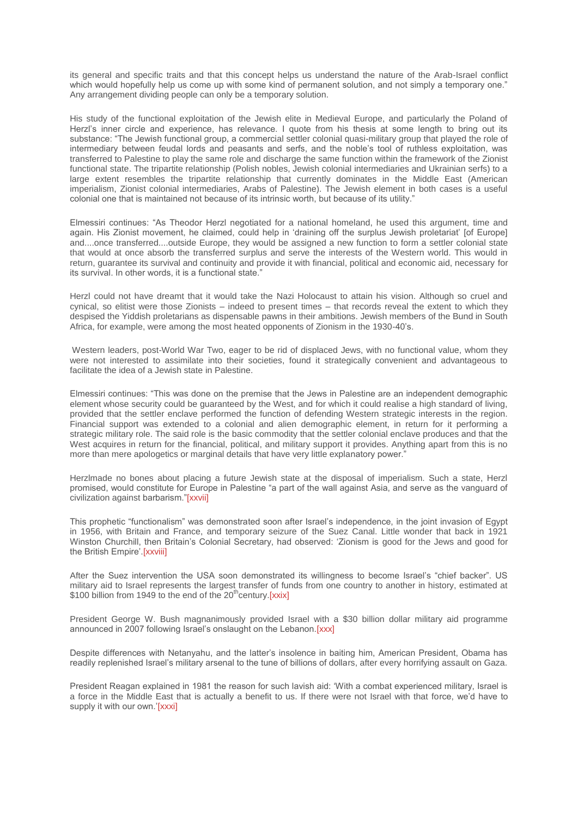its general and specific traits and that this concept helps us understand the nature of the Arab-Israel conflict which would hopefully help us come up with some kind of permanent solution, and not simply a temporary one." Any arrangement dividing people can only be a temporary solution.

His study of the functional exploitation of the Jewish elite in Medieval Europe, and particularly the Poland of Herzl's inner circle and experience, has relevance. I quote from his thesis at some length to bring out its substance: "The Jewish functional group, a commercial settler colonial quasi-military group that played the role of intermediary between feudal lords and peasants and serfs, and the noble's tool of ruthless exploitation, was transferred to Palestine to play the same role and discharge the same function within the framework of the Zionist functional state. The tripartite relationship (Polish nobles, Jewish colonial intermediaries and Ukrainian serfs) to a large extent resembles the tripartite relationship that currently dominates in the Middle East (American imperialism, Zionist colonial intermediaries, Arabs of Palestine). The Jewish element in both cases is a useful colonial one that is maintained not because of its intrinsic worth, but because of its utility."

Elmessiri continues: "As Theodor Herzl negotiated for a national homeland, he used this argument, time and again. His Zionist movement, he claimed, could help in 'draining off the surplus Jewish proletariat' [of Europe] and....once transferred....outside Europe, they would be assigned a new function to form a settler colonial state that would at once absorb the transferred surplus and serve the interests of the Western world. This would in return, guarantee its survival and continuity and provide it with financial, political and economic aid, necessary for its survival. In other words, it is a functional state."

Herzl could not have dreamt that it would take the Nazi Holocaust to attain his vision. Although so cruel and cynical, so elitist were those Zionists – indeed to present times – that records reveal the extent to which they despised the Yiddish proletarians as dispensable pawns in their ambitions. Jewish members of the Bund in South Africa, for example, were among the most heated opponents of Zionism in the 1930-40's.

Western leaders, post-World War Two, eager to be rid of displaced Jews, with no functional value, whom they were not interested to assimilate into their societies, found it strategically convenient and advantageous to facilitate the idea of a Jewish state in Palestine.

Elmessiri continues: "This was done on the premise that the Jews in Palestine are an independent demographic element whose security could be guaranteed by the West, and for which it could realise a high standard of living, provided that the settler enclave performed the function of defending Western strategic interests in the region. Financial support was extended to a colonial and alien demographic element, in return for it performing a strategic military role. The said role is the basic commodity that the settler colonial enclave produces and that the West acquires in return for the financial, political, and military support it provides. Anything apart from this is no more than mere apologetics or marginal details that have very little explanatory power."

Herzlmade no bones about placing a future Jewish state at the disposal of imperialism. Such a state, Herzl promised, would constitute for Europe in Palestine "a part of the wall against Asia, and serve as the vanguard of civilization against barbarism.["\[xxvii\]](file:///C:/Users/Gunda/AppData/Local/Microsoft/Windows/Temporary%20Internet%20Files/Content.Outlook/JKFQ5PMT/MEMO%20EDIT%20WHITHER%20PALESTINE.docx%23_edn27)

This prophetic "functionalism" was demonstrated soon after Israel's independence, in the joint invasion of Egypt in 1956, with Britain and France, and temporary seizure of the Suez Canal. Little wonder that back in 1921 Winston Churchill, then Britain's Colonial Secretary, had observed: 'Zionism is good for the Jews and good for the British Empire['.\[xxviii\]](file:///C:/Users/Gunda/AppData/Local/Microsoft/Windows/Temporary%20Internet%20Files/Content.Outlook/JKFQ5PMT/MEMO%20EDIT%20WHITHER%20PALESTINE.docx%23_edn28)

After the Suez intervention the USA soon demonstrated its willingness to become Israel's "chief backer". US military aid to Israel represents the largest transfer of funds from one country to another in history, estimated at \$100 billion from 1949 to the end of the 20<sup>th</sup>centur[y.\[xxix\]](file:///C:/Users/Gunda/AppData/Local/Microsoft/Windows/Temporary%20Internet%20Files/Content.Outlook/JKFQ5PMT/MEMO%20EDIT%20WHITHER%20PALESTINE.docx%23_edn29)

President George W. Bush magnanimously provided Israel with a \$30 billion dollar military aid programme announced in 2007 following Israel's onslaught on the Lebanon[.\[xxx\]](file:///C:/Users/Gunda/AppData/Local/Microsoft/Windows/Temporary%20Internet%20Files/Content.Outlook/JKFQ5PMT/MEMO%20EDIT%20WHITHER%20PALESTINE.docx%23_edn30)

Despite differences with Netanyahu, and the latter's insolence in baiting him, American President, Obama has readily replenished Israel's military arsenal to the tune of billions of dollars, after every horrifying assault on Gaza.

President Reagan explained in 1981 the reason for such lavish aid: 'With a combat experienced military, Israel is a force in the Middle East that is actually a benefit to us. If there were not Israel with that force, we'd have to supply it with our own[.'\[xxxi\]](file:///C:/Users/Gunda/AppData/Local/Microsoft/Windows/Temporary%20Internet%20Files/Content.Outlook/JKFQ5PMT/MEMO%20EDIT%20WHITHER%20PALESTINE.docx%23_edn31)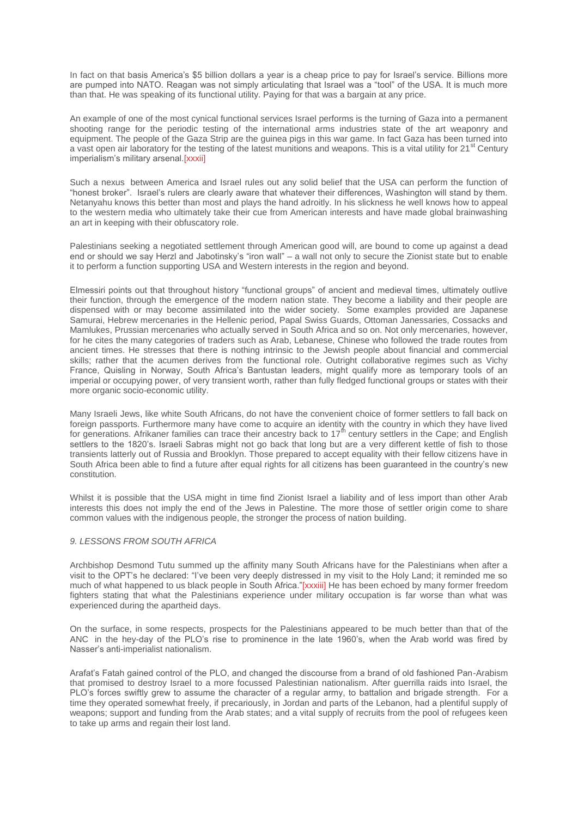In fact on that basis America's \$5 billion dollars a year is a cheap price to pay for Israel's service. Billions more are pumped into NATO. Reagan was not simply articulating that Israel was a "tool" of the USA. It is much more than that. He was speaking of its functional utility. Paying for that was a bargain at any price.

An example of one of the most cynical functional services Israel performs is the turning of Gaza into a permanent shooting range for the periodic testing of the international arms industries state of the art weaponry and equipment. The people of the Gaza Strip are the guinea pigs in this war game. In fact Gaza has been turned into a vast open air laboratory for the testing of the latest munitions and weapons. This is a vital utility for 21<sup>st</sup> Century imperialism's military arsena[l.\[xxxii\]](file:///C:/Users/Gunda/AppData/Local/Microsoft/Windows/Temporary%20Internet%20Files/Content.Outlook/JKFQ5PMT/MEMO%20EDIT%20WHITHER%20PALESTINE.docx%23_edn32)

Such a nexus between America and Israel rules out any solid belief that the USA can perform the function of "honest broker". Israel's rulers are clearly aware that whatever their differences, Washington will stand by them. Netanyahu knows this better than most and plays the hand adroitly. In his slickness he well knows how to appeal to the western media who ultimately take their cue from American interests and have made global brainwashing an art in keeping with their obfuscatory role.

Palestinians seeking a negotiated settlement through American good will, are bound to come up against a dead end or should we say Herzl and Jabotinsky's "iron wall" – a wall not only to secure the Zionist state but to enable it to perform a function supporting USA and Western interests in the region and beyond.

Elmessiri points out that throughout history "functional groups" of ancient and medieval times, ultimately outlive their function, through the emergence of the modern nation state. They become a liability and their people are dispensed with or may become assimilated into the wider society. Some examples provided are Japanese Samurai, Hebrew mercenaries in the Hellenic period, Papal Swiss Guards, Ottoman Janessaries, Cossacks and Mamlukes, Prussian mercenaries who actually served in South Africa and so on. Not only mercenaries, however, for he cites the many categories of traders such as Arab, Lebanese, Chinese who followed the trade routes from ancient times. He stresses that there is nothing intrinsic to the Jewish people about financial and commercial skills; rather that the acumen derives from the functional role. Outright collaborative regimes such as Vichy France, Quisling in Norway, South Africa's Bantustan leaders, might qualify more as temporary tools of an imperial or occupying power, of very transient worth, rather than fully fledged functional groups or states with their more organic socio-economic utility.

Many Israeli Jews, like white South Africans, do not have the convenient choice of former settlers to fall back on foreign passports. Furthermore many have come to acquire an identity with the country in which they have lived for generations. Afrikaner families can trace their ancestry back to 17<sup>th</sup> century settlers in the Cape; and English settlers to the 1820's. Israeli Sabras might not go back that long but are a very different kettle of fish to those transients latterly out of Russia and Brooklyn. Those prepared to accept equality with their fellow citizens have in South Africa been able to find a future after equal rights for all citizens has been guaranteed in the country's new constitution.

Whilst it is possible that the USA might in time find Zionist Israel a liability and of less import than other Arab interests this does not imply the end of the Jews in Palestine. The more those of settler origin come to share common values with the indigenous people, the stronger the process of nation building.

#### *9. LESSONS FROM SOUTH AFRICA*

Archbishop Desmond Tutu summed up the affinity many South Africans have for the Palestinians when after a visit to the OPT's he declared: "I've been very deeply distressed in my visit to the Holy Land; it reminded me so much of what happened to us black people in South Africa.["\[xxxiii\]](file:///C:/Users/Gunda/AppData/Local/Microsoft/Windows/Temporary%20Internet%20Files/Content.Outlook/JKFQ5PMT/MEMO%20EDIT%20WHITHER%20PALESTINE.docx%23_edn33) He has been echoed by many former freedom fighters stating that what the Palestinians experience under military occupation is far worse than what was experienced during the apartheid days.

On the surface, in some respects, prospects for the Palestinians appeared to be much better than that of the ANC in the hey-day of the PLO's rise to prominence in the late 1960's, when the Arab world was fired by Nasser's anti-imperialist nationalism.

Arafat's Fatah gained control of the PLO, and changed the discourse from a brand of old fashioned Pan-Arabism that promised to destroy Israel to a more focussed Palestinian nationalism. After guerrilla raids into Israel, the PLO's forces swiftly grew to assume the character of a regular army, to battalion and brigade strength. For a time they operated somewhat freely, if precariously, in Jordan and parts of the Lebanon, had a plentiful supply of weapons; support and funding from the Arab states; and a vital supply of recruits from the pool of refugees keen to take up arms and regain their lost land.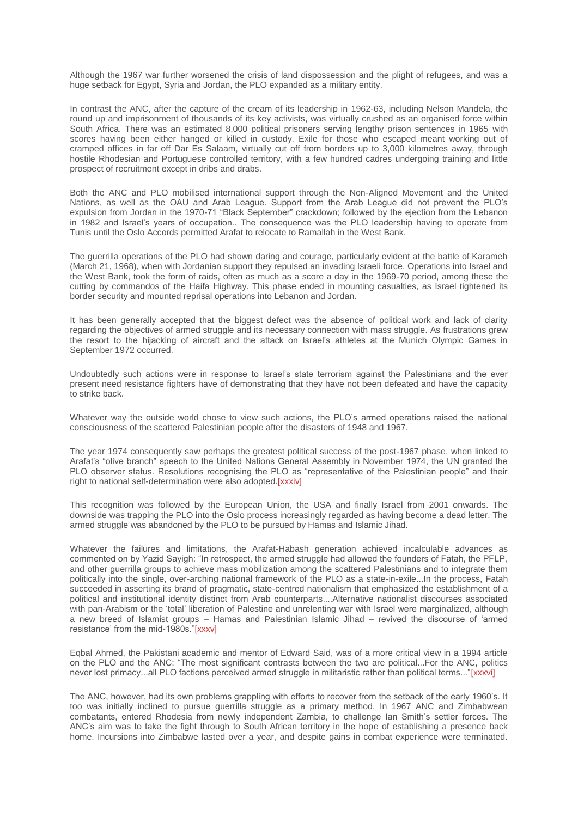Although the 1967 war further worsened the crisis of land dispossession and the plight of refugees, and was a huge setback for Egypt, Syria and Jordan, the PLO expanded as a military entity.

In contrast the ANC, after the capture of the cream of its leadership in 1962-63, including Nelson Mandela, the round up and imprisonment of thousands of its key activists, was virtually crushed as an organised force within South Africa. There was an estimated 8,000 political prisoners serving lengthy prison sentences in 1965 with scores having been either hanged or killed in custody. Exile for those who escaped meant working out of cramped offices in far off Dar Es Salaam, virtually cut off from borders up to 3,000 kilometres away, through hostile Rhodesian and Portuguese controlled territory, with a few hundred cadres undergoing training and little prospect of recruitment except in dribs and drabs.

Both the ANC and PLO mobilised international support through the Non-Aligned Movement and the United Nations, as well as the OAU and Arab League. Support from the Arab League did not prevent the PLO's expulsion from Jordan in the 1970-71 "Black September" crackdown; followed by the ejection from the Lebanon in 1982 and Israel's years of occupation.. The consequence was the PLO leadership having to operate from Tunis until the Oslo Accords permitted Arafat to relocate to Ramallah in the West Bank.

The guerrilla operations of the PLO had shown daring and courage, particularly evident at the battle of Karameh (March 21, 1968), when with Jordanian support they repulsed an invading Israeli force. Operations into Israel and the West Bank, took the form of raids, often as much as a score a day in the 1969-70 period, among these the cutting by commandos of the Haifa Highway. This phase ended in mounting casualties, as Israel tightened its border security and mounted reprisal operations into Lebanon and Jordan.

It has been generally accepted that the biggest defect was the absence of political work and lack of clarity regarding the objectives of armed struggle and its necessary connection with mass struggle. As frustrations grew the resort to the hijacking of aircraft and the attack on Israel's athletes at the Munich Olympic Games in September 1972 occurred.

Undoubtedly such actions were in response to Israel's state terrorism against the Palestinians and the ever present need resistance fighters have of demonstrating that they have not been defeated and have the capacity to strike back.

Whatever way the outside world chose to view such actions, the PLO's armed operations raised the national consciousness of the scattered Palestinian people after the disasters of 1948 and 1967.

The year 1974 consequently saw perhaps the greatest political success of the post-1967 phase, when linked to Arafat's "olive branch" speech to the United Nations General Assembly in November 1974, the UN granted the PLO observer status. Resolutions recognising the PLO as "representative of the Palestinian people" and their right to national self-determination were also adopted[.\[xxxiv\]](file:///C:/Users/Gunda/AppData/Local/Microsoft/Windows/Temporary%20Internet%20Files/Content.Outlook/JKFQ5PMT/MEMO%20EDIT%20WHITHER%20PALESTINE.docx%23_edn34)

This recognition was followed by the European Union, the USA and finally Israel from 2001 onwards. The downside was trapping the PLO into the Oslo process increasingly regarded as having become a dead letter. The armed struggle was abandoned by the PLO to be pursued by Hamas and Islamic Jihad.

Whatever the failures and limitations, the Arafat-Habash generation achieved incalculable advances as commented on by Yazid Sayigh: "In retrospect, the armed struggle had allowed the founders of Fatah, the PFLP, and other guerrilla groups to achieve mass mobilization among the scattered Palestinians and to integrate them politically into the single, over-arching national framework of the PLO as a state-in-exile...In the process, Fatah succeeded in asserting its brand of pragmatic, state-centred nationalism that emphasized the establishment of a political and institutional identity distinct from Arab counterparts....Alternative nationalist discourses associated with pan-Arabism or the 'total' liberation of Palestine and unrelenting war with Israel were marginalized, although a new breed of Islamist groups – Hamas and Palestinian Islamic Jihad – revived the discourse of 'armed resistance' from the mid-1980s.["\[xxxv\]](file:///C:/Users/Gunda/AppData/Local/Microsoft/Windows/Temporary%20Internet%20Files/Content.Outlook/JKFQ5PMT/MEMO%20EDIT%20WHITHER%20PALESTINE.docx%23_edn35)

Eqbal Ahmed, the Pakistani academic and mentor of Edward Said, was of a more critical view in a 1994 article on the PLO and the ANC: "The most significant contrasts between the two are political...For the ANC, politics never lost primacy...all PLO factions perceived armed struggle in militaristic rather than political terms...["\[xxxvi\]](file:///C:/Users/Gunda/AppData/Local/Microsoft/Windows/Temporary%20Internet%20Files/Content.Outlook/JKFQ5PMT/MEMO%20EDIT%20WHITHER%20PALESTINE.docx%23_edn36)

The ANC, however, had its own problems grappling with efforts to recover from the setback of the early 1960's. It too was initially inclined to pursue guerrilla struggle as a primary method. In 1967 ANC and Zimbabwean combatants, entered Rhodesia from newly independent Zambia, to challenge Ian Smith's settler forces. The ANC's aim was to take the fight through to South African territory in the hope of establishing a presence back home. Incursions into Zimbabwe lasted over a year, and despite gains in combat experience were terminated.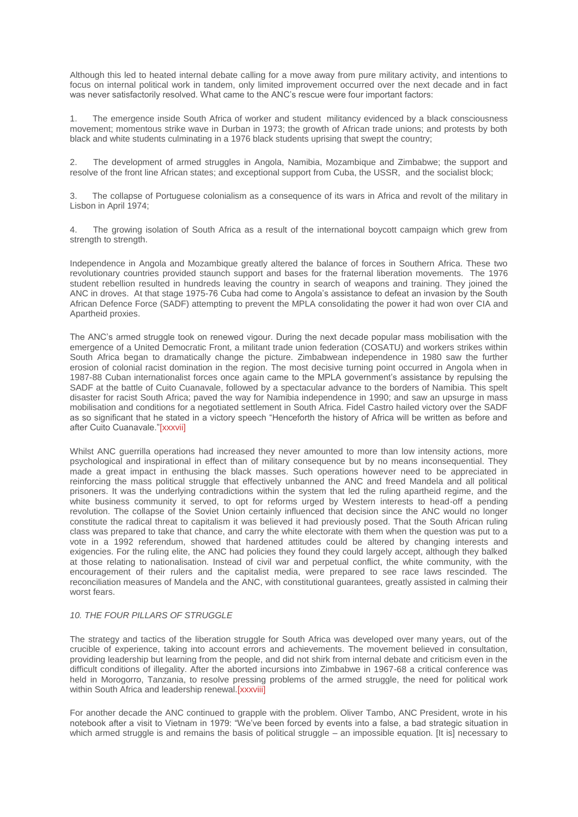Although this led to heated internal debate calling for a move away from pure military activity, and intentions to focus on internal political work in tandem, only limited improvement occurred over the next decade and in fact was never satisfactorily resolved. What came to the ANC's rescue were four important factors:

1. The emergence inside South Africa of worker and student militancy evidenced by a black consciousness movement; momentous strike wave in Durban in 1973; the growth of African trade unions; and protests by both black and white students culminating in a 1976 black students uprising that swept the country;

2. The development of armed struggles in Angola, Namibia, Mozambique and Zimbabwe; the support and resolve of the front line African states; and exceptional support from Cuba, the USSR, and the socialist block;

The collapse of Portuguese colonialism as a consequence of its wars in Africa and revolt of the military in Lisbon in April 1974;

4. The growing isolation of South Africa as a result of the international boycott campaign which grew from strength to strength.

Independence in Angola and Mozambique greatly altered the balance of forces in Southern Africa. These two revolutionary countries provided staunch support and bases for the fraternal liberation movements. The 1976 student rebellion resulted in hundreds leaving the country in search of weapons and training. They joined the ANC in droves. At that stage 1975-76 Cuba had come to Angola's assistance to defeat an invasion by the South African Defence Force (SADF) attempting to prevent the MPLA consolidating the power it had won over CIA and Apartheid proxies.

The ANC's armed struggle took on renewed vigour. During the next decade popular mass mobilisation with the emergence of a United Democratic Front, a militant trade union federation (COSATU) and workers strikes within South Africa began to dramatically change the picture. Zimbabwean independence in 1980 saw the further erosion of colonial racist domination in the region. The most decisive turning point occurred in Angola when in 1987-88 Cuban internationalist forces once again came to the MPLA government's assistance by repulsing the SADF at the battle of Cuito Cuanavale, followed by a spectacular advance to the borders of Namibia. This spelt disaster for racist South Africa; paved the way for Namibia independence in 1990; and saw an upsurge in mass mobilisation and conditions for a negotiated settlement in South Africa. Fidel Castro hailed victory over the SADF as so significant that he stated in a victory speech "Henceforth the history of Africa will be written as before and after Cuito Cuanavale.["\[xxxvii\]](file:///C:/Users/Gunda/AppData/Local/Microsoft/Windows/Temporary%20Internet%20Files/Content.Outlook/JKFQ5PMT/MEMO%20EDIT%20WHITHER%20PALESTINE.docx%23_edn37)

Whilst ANC guerrilla operations had increased they never amounted to more than low intensity actions, more psychological and inspirational in effect than of military consequence but by no means inconsequential. They made a great impact in enthusing the black masses. Such operations however need to be appreciated in reinforcing the mass political struggle that effectively unbanned the ANC and freed Mandela and all political prisoners. It was the underlying contradictions within the system that led the ruling apartheid regime, and the white business community it served, to opt for reforms urged by Western interests to head-off a pending revolution. The collapse of the Soviet Union certainly influenced that decision since the ANC would no longer constitute the radical threat to capitalism it was believed it had previously posed. That the South African ruling class was prepared to take that chance, and carry the white electorate with them when the question was put to a vote in a 1992 referendum, showed that hardened attitudes could be altered by changing interests and exigencies. For the ruling elite, the ANC had policies they found they could largely accept, although they balked at those relating to nationalisation. Instead of civil war and perpetual conflict, the white community, with the encouragement of their rulers and the capitalist media, were prepared to see race laws rescinded. The reconciliation measures of Mandela and the ANC, with constitutional guarantees, greatly assisted in calming their worst fears.

### *10. THE FOUR PILLARS OF STRUGGLE*

The strategy and tactics of the liberation struggle for South Africa was developed over many years, out of the crucible of experience, taking into account errors and achievements. The movement believed in consultation, providing leadership but learning from the people, and did not shirk from internal debate and criticism even in the difficult conditions of illegality. After the aborted incursions into Zimbabwe in 1967-68 a critical conference was held in Morogorro, Tanzania, to resolve pressing problems of the armed struggle, the need for political work within South Africa and leadership renewa[l.\[xxxviii\]](file:///C:/Users/Gunda/AppData/Local/Microsoft/Windows/Temporary%20Internet%20Files/Content.Outlook/JKFQ5PMT/MEMO%20EDIT%20WHITHER%20PALESTINE.docx%23_edn38)

For another decade the ANC continued to grapple with the problem. Oliver Tambo, ANC President, wrote in his notebook after a visit to Vietnam in 1979: "We've been forced by events into a false, a bad strategic situation in which armed struggle is and remains the basis of political struggle – an impossible equation. [It is] necessary to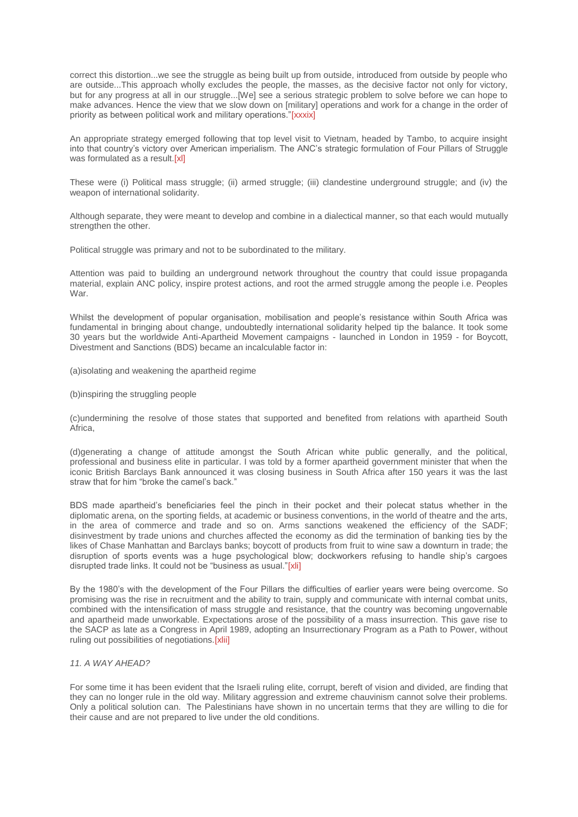correct this distortion...we see the struggle as being built up from outside, introduced from outside by people who are outside...This approach wholly excludes the people, the masses, as the decisive factor not only for victory, but for any progress at all in our struggle...[We] see a serious strategic problem to solve before we can hope to make advances. Hence the view that we slow down on [military] operations and work for a change in the order of priority as between political work and military operations.["\[xxxix\]](file:///C:/Users/Gunda/AppData/Local/Microsoft/Windows/Temporary%20Internet%20Files/Content.Outlook/JKFQ5PMT/MEMO%20EDIT%20WHITHER%20PALESTINE.docx%23_edn39)

An appropriate strategy emerged following that top level visit to Vietnam, headed by Tambo, to acquire insight into that country's victory over American imperialism. The ANC's strategic formulation of Four Pillars of Struggle was formulated as a resul[t.\[xl\]](file:///C:/Users/Gunda/AppData/Local/Microsoft/Windows/Temporary%20Internet%20Files/Content.Outlook/JKFQ5PMT/MEMO%20EDIT%20WHITHER%20PALESTINE.docx%23_edn40)

These were (i) Political mass struggle; (ii) armed struggle; (iii) clandestine underground struggle; and (iv) the weapon of international solidarity.

Although separate, they were meant to develop and combine in a dialectical manner, so that each would mutually strengthen the other.

Political struggle was primary and not to be subordinated to the military.

Attention was paid to building an underground network throughout the country that could issue propaganda material, explain ANC policy, inspire protest actions, and root the armed struggle among the people i.e. Peoples War.

Whilst the development of popular organisation, mobilisation and people's resistance within South Africa was fundamental in bringing about change, undoubtedly international solidarity helped tip the balance. It took some 30 years but the worldwide Anti-Apartheid Movement campaigns - launched in London in 1959 - for Boycott, Divestment and Sanctions (BDS) became an incalculable factor in:

(a)isolating and weakening the apartheid regime

(b)inspiring the struggling people

(c)undermining the resolve of those states that supported and benefited from relations with apartheid South Africa,

(d)generating a change of attitude amongst the South African white public generally, and the political, professional and business elite in particular. I was told by a former apartheid government minister that when the iconic British Barclays Bank announced it was closing business in South Africa after 150 years it was the last straw that for him "broke the camel's back."

BDS made apartheid's beneficiaries feel the pinch in their pocket and their polecat status whether in the diplomatic arena, on the sporting fields, at academic or business conventions, in the world of theatre and the arts, in the area of commerce and trade and so on. Arms sanctions weakened the efficiency of the SADF; disinvestment by trade unions and churches affected the economy as did the termination of banking ties by the likes of Chase Manhattan and Barclays banks; boycott of products from fruit to wine saw a downturn in trade; the disruption of sports events was a huge psychological blow; dockworkers refusing to handle ship's cargoes disrupted trade links. It could not be "business as usual.["\[xli\]](file:///C:/Users/Gunda/AppData/Local/Microsoft/Windows/Temporary%20Internet%20Files/Content.Outlook/JKFQ5PMT/MEMO%20EDIT%20WHITHER%20PALESTINE.docx%23_edn41)

By the 1980's with the development of the Four Pillars the difficulties of earlier years were being overcome. So promising was the rise in recruitment and the ability to train, supply and communicate with internal combat units, combined with the intensification of mass struggle and resistance, that the country was becoming ungovernable and apartheid made unworkable. Expectations arose of the possibility of a mass insurrection. This gave rise to the SACP as late as a Congress in April 1989, adopting an Insurrectionary Program as a Path to Power, without ruling out possibilities of negotiations[.\[xlii\]](file:///C:/Users/Gunda/AppData/Local/Microsoft/Windows/Temporary%20Internet%20Files/Content.Outlook/JKFQ5PMT/MEMO%20EDIT%20WHITHER%20PALESTINE.docx%23_edn42)

### *11. A WAY AHEAD?*

For some time it has been evident that the Israeli ruling elite, corrupt, bereft of vision and divided, are finding that they can no longer rule in the old way. Military aggression and extreme chauvinism cannot solve their problems. Only a political solution can. The Palestinians have shown in no uncertain terms that they are willing to die for their cause and are not prepared to live under the old conditions.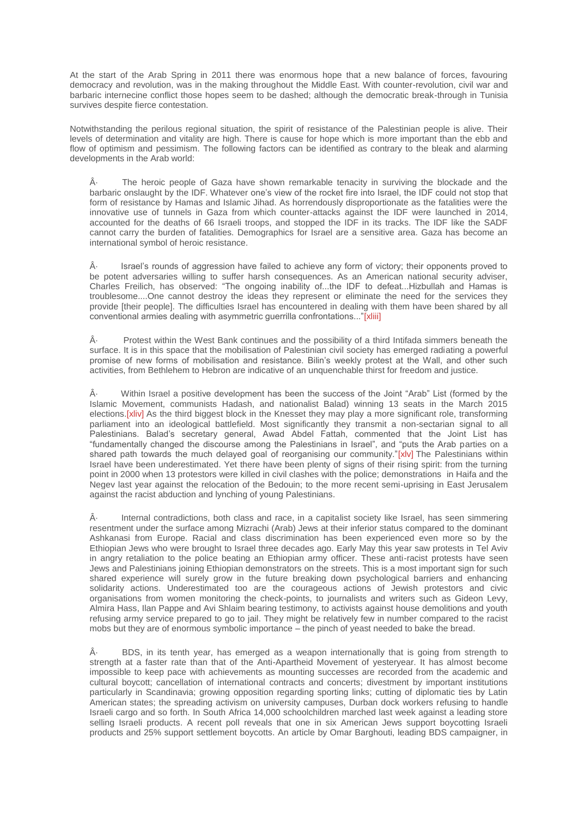At the start of the Arab Spring in 2011 there was enormous hope that a new balance of forces, favouring democracy and revolution, was in the making throughout the Middle East. With counter-revolution, civil war and barbaric internecine conflict those hopes seem to be dashed; although the democratic break-through in Tunisia survives despite fierce contestation.

Notwithstanding the perilous regional situation, the spirit of resistance of the Palestinian people is alive. Their levels of determination and vitality are high. There is cause for hope which is more important than the ebb and flow of optimism and pessimism. The following factors can be identified as contrary to the bleak and alarming developments in the Arab world:

 $\hat{A}$ . The heroic people of Gaza have shown remarkable tenacity in surviving the blockade and the barbaric onslaught by the IDF. Whatever one's view of the rocket fire into Israel, the IDF could not stop that form of resistance by Hamas and Islamic Jihad. As horrendously disproportionate as the fatalities were the innovative use of tunnels in Gaza from which counter-attacks against the IDF were launched in 2014, accounted for the deaths of 66 Israeli troops, and stopped the IDF in its tracks. The IDF like the SADF cannot carry the burden of fatalities. Demographics for Israel are a sensitive area. Gaza has become an international symbol of heroic resistance.

 $\hat{A}$ . Israel's rounds of aggression have failed to achieve any form of victory; their opponents proved to be potent adversaries willing to suffer harsh consequences. As an American national security adviser, Charles Freilich, has observed: "The ongoing inability of...the IDF to defeat...Hizbullah and Hamas is troublesome....One cannot destroy the ideas they represent or eliminate the need for the services they provide [their people]. The difficulties Israel has encountered in dealing with them have been shared by all conventional armies dealing with asymmetric querrilla confrontations...["\[xliii\]](file:///C:/Users/Gunda/AppData/Local/Microsoft/Windows/Temporary%20Internet%20Files/Content.Outlook/JKFQ5PMT/MEMO%20EDIT%20WHITHER%20PALESTINE.docx%23_edn43)

 $\hat{A}$ . Protest within the West Bank continues and the possibility of a third Intifada simmers beneath the surface. It is in this space that the mobilisation of Palestinian civil society has emerged radiating a powerful promise of new forms of mobilisation and resistance. Bilin's weekly protest at the Wall, and other such activities, from Bethlehem to Hebron are indicative of an unquenchable thirst for freedom and justice.

 $\hat{A}$ . Within Israel a positive development has been the success of the Joint "Arab" List (formed by the Islamic Movement, communists Hadash, and nationalist Balad) winning 13 seats in the March 2015 elections. [xliv] As the third biggest block in the Knesset they may play a more significant role, transforming parliament into an ideological battlefield. Most significantly they transmit a non-sectarian signal to all Palestinians. Balad's secretary general, Awad Abdel Fattah, commented that the Joint List has "fundamentally changed the discourse among the Palestinians in Israel", and "puts the Arab parties on a shared path towards the much delayed goal of reorganising our community.["\[xlv\]](file:///C:/Users/Gunda/AppData/Local/Microsoft/Windows/Temporary%20Internet%20Files/Content.Outlook/JKFQ5PMT/MEMO%20EDIT%20WHITHER%20PALESTINE.docx%23_edn45) The Palestinians within Israel have been underestimated. Yet there have been plenty of signs of their rising spirit: from the turning point in 2000 when 13 protestors were killed in civil clashes with the police; demonstrations in Haifa and the Negev last year against the relocation of the Bedouin; to the more recent semi-uprising in East Jerusalem against the racist abduction and lynching of young Palestinians.

 $\hat{A}$ . Internal contradictions, both class and race, in a capitalist society like Israel. has seen simmering resentment under the surface among Mizrachi (Arab) Jews at their inferior status compared to the dominant Ashkanasi from Europe. Racial and class discrimination has been experienced even more so by the Ethiopian Jews who were brought to Israel three decades ago. Early May this year saw protests in Tel Aviv in angry retaliation to the police beating an Ethiopian army officer. These anti-racist protests have seen Jews and Palestinians joining Ethiopian demonstrators on the streets. This is a most important sign for such shared experience will surely grow in the future breaking down psychological barriers and enhancing solidarity actions. Underestimated too are the courageous actions of Jewish protestors and civic organisations from women monitoring the check-points, to journalists and writers such as Gideon Levy, Almira Hass, Ilan Pappe and Avi Shlaim bearing testimony, to activists against house demolitions and youth refusing army service prepared to go to jail. They might be relatively few in number compared to the racist mobs but they are of enormous symbolic importance – the pinch of yeast needed to bake the bread.

 $\hat{A}$ . BDS, in its tenth year, has emerged as a weapon internationally that is going from strength to strength at a faster rate than that of the Anti-Apartheid Movement of yesteryear. It has almost become impossible to keep pace with achievements as mounting successes are recorded from the academic and cultural boycott; cancellation of international contracts and concerts; divestment by important institutions particularly in Scandinavia; growing opposition regarding sporting links; cutting of diplomatic ties by Latin American states; the spreading activism on university campuses, Durban dock workers refusing to handle Israeli cargo and so forth. In South Africa 14,000 schoolchildren marched last week against a leading store selling Israeli products. A recent poll reveals that one in six American Jews support boycotting Israeli products and 25% support settlement boycotts. An article by Omar Barghouti, leading BDS campaigner, in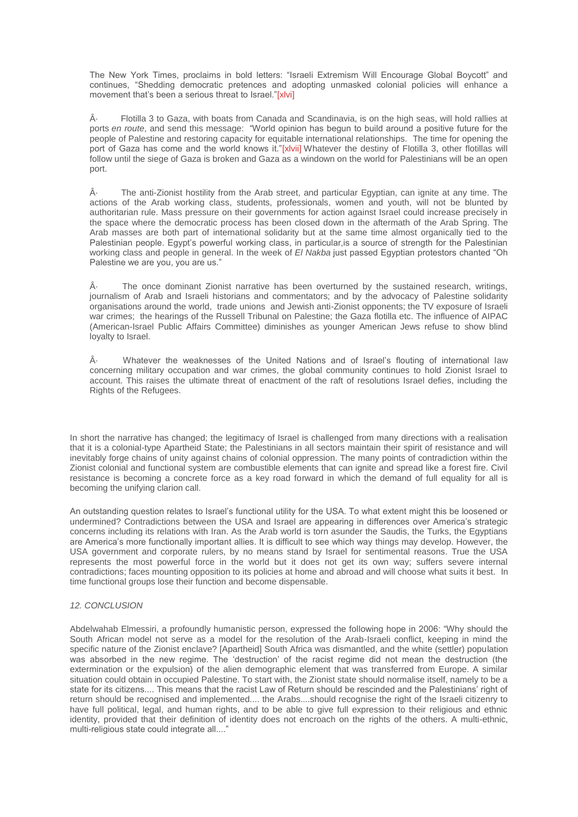The New York Times, proclaims in bold letters: "Israeli Extremism Will Encourage Global Boycott" and continues, "Shedding democratic pretences and adopting unmasked colonial policies will enhance a movement that's been a serious threat to Israel.["\[xlvi\]](file:///C:/Users/Gunda/AppData/Local/Microsoft/Windows/Temporary%20Internet%20Files/Content.Outlook/JKFQ5PMT/MEMO%20EDIT%20WHITHER%20PALESTINE.docx%23_edn46)

 $\hat{A}$ . Flotilla 3 to Gaza, with boats from Canada and Scandinavia, is on the high seas, will hold rallies at ports *en route*, and send this message: "World opinion has begun to build around a positive future for the people of Palestine and restoring capacity for equitable international relationships. The time for opening the port of Gaza has come and the world knows it.["\[xlvii\]](file:///C:/Users/Gunda/AppData/Local/Microsoft/Windows/Temporary%20Internet%20Files/Content.Outlook/JKFQ5PMT/MEMO%20EDIT%20WHITHER%20PALESTINE.docx%23_edn47) Whatever the destiny of Flotilla 3, other flotillas will follow until the siege of Gaza is broken and Gaza as a windown on the world for Palestinians will be an open port.

 $\hat{A}$ . The anti-Zionist hostility from the Arab street, and particular Egyptian, can ignite at any time. The actions of the Arab working class, students, professionals, women and youth, will not be blunted by authoritarian rule. Mass pressure on their governments for action against Israel could increase precisely in the space where the democratic process has been closed down in the aftermath of the Arab Spring. The Arab masses are both part of international solidarity but at the same time almost organically tied to the Palestinian people. Egypt's powerful working class, in particular is a source of strength for the Palestinian working class and people in general. In the week of *El Nakba* just passed Egyptian protestors chanted "Oh Palestine we are you, you are us."

 $\hat{A}$ . The once dominant Zionist narrative has been overturned by the sustained research, writings, journalism of Arab and Israeli historians and commentators; and by the advocacy of Palestine solidarity organisations around the world, trade unions and Jewish anti-Zionist opponents; the TV exposure of Israeli war crimes; the hearings of the Russell Tribunal on Palestine; the Gaza flotilla etc. The influence of AIPAC (American-Israel Public Affairs Committee) diminishes as younger American Jews refuse to show blind loyalty to Israel.

 $\hat{A}$ . Whatever the weaknesses of the United Nations and of Israel's flouting of international law concerning military occupation and war crimes, the global community continues to hold Zionist Israel to account. This raises the ultimate threat of enactment of the raft of resolutions Israel defies, including the Rights of the Refugees.

In short the narrative has changed; the legitimacy of Israel is challenged from many directions with a realisation that it is a colonial-type Apartheid State; the Palestinians in all sectors maintain their spirit of resistance and will inevitably forge chains of unity against chains of colonial oppression. The many points of contradiction within the Zionist colonial and functional system are combustible elements that can ignite and spread like a forest fire. Civil resistance is becoming a concrete force as a key road forward in which the demand of full equality for all is becoming the unifying clarion call.

An outstanding question relates to Israel's functional utility for the USA. To what extent might this be loosened or undermined? Contradictions between the USA and Israel are appearing in differences over America's strategic concerns including its relations with Iran. As the Arab world is torn asunder the Saudis, the Turks, the Egyptians are America's more functionally important allies. It is difficult to see which way things may develop. However, the USA government and corporate rulers, by no means stand by Israel for sentimental reasons. True the USA represents the most powerful force in the world but it does not get its own way; suffers severe internal contradictions; faces mounting opposition to its policies at home and abroad and will choose what suits it best. In time functional groups lose their function and become dispensable.

#### *12. CONCLUSION*

Abdelwahab Elmessiri, a profoundly humanistic person, expressed the following hope in 2006: "Why should the South African model not serve as a model for the resolution of the Arab-Israeli conflict, keeping in mind the specific nature of the Zionist enclave? [Apartheid] South Africa was dismantled, and the white (settler) population was absorbed in the new regime. The 'destruction' of the racist regime did not mean the destruction (the extermination or the expulsion) of the alien demographic element that was transferred from Europe. A similar situation could obtain in occupied Palestine. To start with, the Zionist state should normalise itself, namely to be a state for its citizens.... This means that the racist Law of Return should be rescinded and the Palestinians' right of return should be recognised and implemented.... the Arabs....should recognise the right of the Israeli citizenry to have full political, legal, and human rights, and to be able to give full expression to their religious and ethnic identity, provided that their definition of identity does not encroach on the rights of the others. A multi-ethnic, multi-religious state could integrate all...."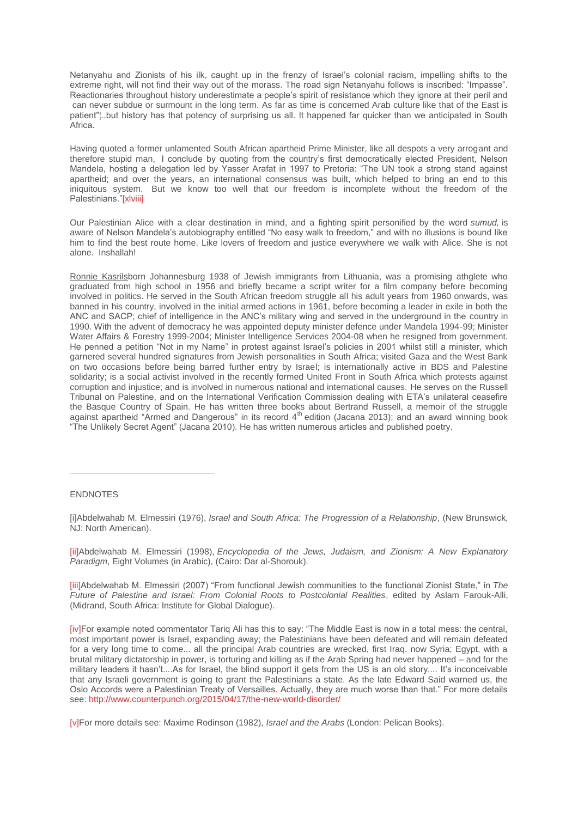Netanyahu and Zionists of his ilk, caught up in the frenzy of Israel's colonial racism, impelling shifts to the extreme right, will not find their way out of the morass. The road sign Netanyahu follows is inscribed: "Impasse". Reactionaries throughout history underestimate a people's spirit of resistance which they ignore at their peril and can never subdue or surmount in the long term. As far as time is concerned Arab culture like that of the East is patient"¦..but history has that potency of surprising us all. It happened far quicker than we anticipated in South Africa.

Having quoted a former unlamented South African apartheid Prime Minister, like all despots a very arrogant and therefore stupid man, I conclude by quoting from the country's first democratically elected President, Nelson Mandela, hosting a delegation led by Yasser Arafat in 1997 to Pretoria: "The UN took a strong stand against apartheid; and over the years, an international consensus was built, which helped to bring an end to this iniquitous system. But we know too well that our freedom is incomplete without the freedom of the Palestinians.["\[xlviii\]](file:///C:/Users/Gunda/AppData/Local/Microsoft/Windows/Temporary%20Internet%20Files/Content.Outlook/JKFQ5PMT/MEMO%20EDIT%20WHITHER%20PALESTINE.docx%23_edn48)

Our Palestinian Alice with a clear destination in mind, and a fighting spirit personified by the word *sumud,* is aware of Nelson Mandela's autobiography entitled "No easy walk to freedom," and with no illusions is bound like him to find the best route home. Like lovers of freedom and justice everywhere we walk with Alice. She is not alone. Inshallah!

Ronnie Kasrilsborn Johannesburg 1938 of Jewish immigrants from Lithuania, was a promising athglete who graduated from high school in 1956 and briefly became a script writer for a film company before becoming involved in politics. He served in the South African freedom struggle all his adult years from 1960 onwards, was banned in his country, involved in the initial armed actions in 1961, before becoming a leader in exile in both the ANC and SACP; chief of intelligence in the ANC's military wing and served in the underground in the country in 1990. With the advent of democracy he was appointed deputy minister defence under Mandela 1994-99; Minister Water Affairs & Forestry 1999-2004; Minister Intelligence Services 2004-08 when he resigned from government. He penned a petition "Not in my Name" in protest against Israel's policies in 2001 whilst still a minister, which garnered several hundred signatures from Jewish personalities in South Africa; visited Gaza and the West Bank on two occasions before being barred further entry by Israel; is internationally active in BDS and Palestine solidarity; is a social activist involved in the recently formed United Front in South Africa which protests against corruption and injustice; and is involved in numerous national and international causes. He serves on the Russell Tribunal on Palestine, and on the International Verification Commission dealing with ETA's unilateral ceasefire the Basque Country of Spain. He has written three books about Bertrand Russell, a memoir of the struggle against apartheid "Armed and Dangerous" in its record 4<sup>th</sup> edition (Jacana 2013); and an award winning book "The Unlikely Secret Agent" (Jacana 2010). He has written numerous articles and published poetry.

# ENDNOTES

[i]Abdelwahab M. Elmessiri (1976), *Israel and South Africa: The Progression of a Relationship*, (New Brunswick, NJ: North American).

[\[ii\]A](file:///C:/Users/Gunda/AppData/Local/Microsoft/Windows/Temporary%20Internet%20Files/Content.Outlook/JKFQ5PMT/MEMO%20EDIT%20WHITHER%20PALESTINE.docx%23_ednref2)bdelwahab M. Elmessiri (1998), *Encyclopedia of the Jews, Judaism, and Zionism: A New Explanatory Paradigm*, Eight Volumes (in Arabic), (Cairo: Dar al-Shorouk).

[\[iii\]A](file:///C:/Users/Gunda/AppData/Local/Microsoft/Windows/Temporary%20Internet%20Files/Content.Outlook/JKFQ5PMT/MEMO%20EDIT%20WHITHER%20PALESTINE.docx%23_ednref3)bdelwahab M. Elmessiri (2007) "From functional Jewish communities to the functional Zionist State," in *The Future of Palestine and Israel: From Colonial Roots to Postcolonial Realities*, edited by Aslam Farouk-Alli, (Midrand, South Africa: Institute for Global Dialogue).

[\[iv\]F](file:///C:/Users/Gunda/AppData/Local/Microsoft/Windows/Temporary%20Internet%20Files/Content.Outlook/JKFQ5PMT/MEMO%20EDIT%20WHITHER%20PALESTINE.docx%23_ednref4)or example noted commentator Tariq Ali has this to say: "The Middle East is now in a total mess: the central, most important power is Israel, expanding away; the Palestinians have been defeated and will remain defeated for a very long time to come... all the principal Arab countries are wrecked, first Iraq, now Syria; Egypt, with a brutal military dictatorship in power, is torturing and killing as if the Arab Spring had never happened – and for the military leaders it hasn't....As for Israel, the blind support it gets from the US is an old story.... It's inconceivable that any Israeli government is going to grant the Palestinians a state. As the late Edward Said warned us, the Oslo Accords were a Palestinian Treaty of Versailles. Actually, they are much worse than that." For more details see: <http://www.counterpunch.org/2015/04/17/the-new-world-disorder/>

[\[v\]F](file:///C:/Users/Gunda/AppData/Local/Microsoft/Windows/Temporary%20Internet%20Files/Content.Outlook/JKFQ5PMT/MEMO%20EDIT%20WHITHER%20PALESTINE.docx%23_ednref5)or more details see: Maxime Rodinson (1982), *Israel and the Arabs* (London: Pelican Books).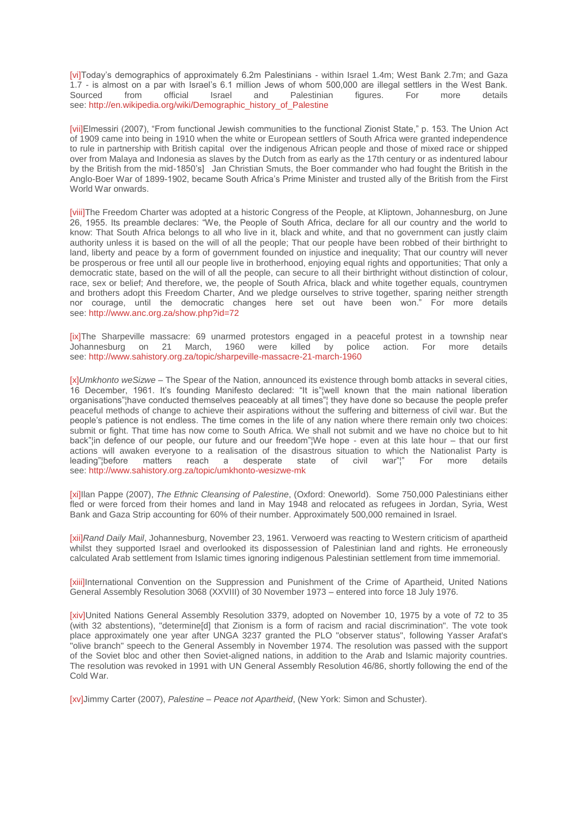[\[vi\]T](file:///C:/Users/Gunda/AppData/Local/Microsoft/Windows/Temporary%20Internet%20Files/Content.Outlook/JKFQ5PMT/MEMO%20EDIT%20WHITHER%20PALESTINE.docx%23_ednref6)oday's demographics of approximately 6.2m Palestinians - within Israel 1.4m; West Bank 2.7m; and Gaza 1.7 - is almost on a par with Israel's 6.1 million Jews of whom 500,000 are illegal settlers in the West Bank. Sourced from official Israel and Palestinian figures. For more details see: [http://en.wikipedia.org/wiki/Demographic\\_history\\_of\\_Palestine](http://en.wikipedia.org/wiki/Demographic_history_of_Palestine)

[\[vii\]E](file:///C:/Users/Gunda/AppData/Local/Microsoft/Windows/Temporary%20Internet%20Files/Content.Outlook/JKFQ5PMT/MEMO%20EDIT%20WHITHER%20PALESTINE.docx%23_ednref7)lmessiri (2007), "From functional Jewish communities to the functional Zionist State," p. 153. The Union Act of 1909 came into being in 1910 when the white or European settlers of South Africa were granted independence to rule in partnership with British capital over the indigenous African people and those of mixed race or shipped over from Malaya and Indonesia as slaves by the Dutch from as early as the 17th century or as indentured labour by the British from the mid-1850's] Jan Christian Smuts, the Boer commander who had fought the British in the Anglo-Boer War of 1899-1902, became South Africa's Prime Minister and trusted ally of the British from the First World War onwards.

[\[viii\]T](file:///C:/Users/Gunda/AppData/Local/Microsoft/Windows/Temporary%20Internet%20Files/Content.Outlook/JKFQ5PMT/MEMO%20EDIT%20WHITHER%20PALESTINE.docx%23_ednref8)he Freedom Charter was adopted at a historic Congress of the People, at Kliptown, Johannesburg, on June 26, 1955. Its preamble declares: "We, the People of South Africa, declare for all our country and the world to know: That South Africa belongs to all who live in it, black and white, and that no government can justly claim authority unless it is based on the will of all the people; That our people have been robbed of their birthright to land, liberty and peace by a form of government founded on injustice and inequality; That our country will never be prosperous or free until all our people live in brotherhood, enjoying equal rights and opportunities; That only a democratic state, based on the will of all the people, can secure to all their birthright without distinction of colour, race, sex or belief; And therefore, we, the people of South Africa, black and white together equals, countrymen and brothers adopt this Freedom Charter, And we pledge ourselves to strive together, sparing neither strength nor courage, until the democratic changes here set out have been won." For more details see: <http://www.anc.org.za/show.php?id=72>

[\[ix\]T](file:///C:/Users/Gunda/AppData/Local/Microsoft/Windows/Temporary%20Internet%20Files/Content.Outlook/JKFQ5PMT/MEMO%20EDIT%20WHITHER%20PALESTINE.docx%23_ednref9)he Sharpeville massacre: 69 unarmed protestors engaged in a peaceful protest in a township near Johannesburg on 21 March, 1960 were killed by police action. For more details see: [http://www.sahistory.org.za/topic/sharpeville-massacre-21-march-1960](https://www.sahistory.org.za/topic/sharpeville-massacre-21-march-1960)

[\[x\]](file:///C:/Users/Gunda/AppData/Local/Microsoft/Windows/Temporary%20Internet%20Files/Content.Outlook/JKFQ5PMT/MEMO%20EDIT%20WHITHER%20PALESTINE.docx%23_ednref10)*Umkhonto weSizwe* – The Spear of the Nation, announced its existence through bomb attacks in several cities, 16 December, 1961. It's founding Manifesto declared: "It is"¦well known that the main national liberation organisations"¦have conducted themselves peaceably at all times"¦ they have done so because the people prefer peaceful methods of change to achieve their aspirations without the suffering and bitterness of civil war. But the people's patience is not endless. The time comes in the life of any nation where there remain only two choices: submit or fight. That time has now come to South Africa. We shall not submit and we have no choice but to hit back"¦in defence of our people, our future and our freedom"¦We hope - even at this late hour – that our first actions will awaken everyone to a realisation of the disastrous situation to which the Nationalist Party is leading"; here matters are ach a desperate state of civil war"; For more details matters reach a desperate state of civil war"¦" For more see: [http://www.sahistory.org.za/topic/umkhonto-wesizwe-mk](https://www.sahistory.org.za/topic/umkhonto-wesizwe-mk)

[\[xi\]Il](file:///C:/Users/Gunda/AppData/Local/Microsoft/Windows/Temporary%20Internet%20Files/Content.Outlook/JKFQ5PMT/MEMO%20EDIT%20WHITHER%20PALESTINE.docx%23_ednref11)an Pappe (2007), *The Ethnic Cleansing of Palestine*, (Oxford: Oneworld). Some 750,000 Palestinians either fled or were forced from their homes and land in May 1948 and relocated as refugees in Jordan, Syria, West Bank and Gaza Strip accounting for 60% of their number. Approximately 500,000 remained in Israel.

[\[xii\]](file:///C:/Users/Gunda/AppData/Local/Microsoft/Windows/Temporary%20Internet%20Files/Content.Outlook/JKFQ5PMT/MEMO%20EDIT%20WHITHER%20PALESTINE.docx%23_ednref12)*Rand Daily Mail*, Johannesburg, November 23, 1961. Verwoerd was reacting to Western criticism of apartheid whilst they supported Israel and overlooked its dispossession of Palestinian land and rights. He erroneously calculated Arab settlement from Islamic times ignoring indigenous Palestinian settlement from time immemorial.

[\[xiii\]I](file:///C:/Users/Gunda/AppData/Local/Microsoft/Windows/Temporary%20Internet%20Files/Content.Outlook/JKFQ5PMT/MEMO%20EDIT%20WHITHER%20PALESTINE.docx%23_ednref13)nternational Convention on the Suppression and Punishment of the Crime of Apartheid, United Nations General Assembly Resolution 3068 (XXVIII) of 30 November 1973 – entered into force 18 July 1976.

[\[xiv\]U](file:///C:/Users/Gunda/AppData/Local/Microsoft/Windows/Temporary%20Internet%20Files/Content.Outlook/JKFQ5PMT/MEMO%20EDIT%20WHITHER%20PALESTINE.docx%23_ednref14)nited Nations General Assembly Resolution 3379, adopted on November 10, 1975 by a vote of 72 to 35 (with 32 abstentions), "determine[d] that Zionism is a form of racism and racial discrimination". The vote took place approximately one year after UNGA 3237 granted the PLO "observer status", following Yasser Arafat's "olive branch" speech to the General Assembly in November 1974. The resolution was passed with the support of the Soviet bloc and other then Soviet-aligned nations, in addition to the Arab and Islamic majority countries. The resolution was revoked in 1991 with UN General Assembly Resolution 46/86, shortly following the end of the Cold War.

[\[xv\]J](file:///C:/Users/Gunda/AppData/Local/Microsoft/Windows/Temporary%20Internet%20Files/Content.Outlook/JKFQ5PMT/MEMO%20EDIT%20WHITHER%20PALESTINE.docx%23_ednref15)immy Carter (2007), *Palestine – Peace not Apartheid*, (New York: Simon and Schuster).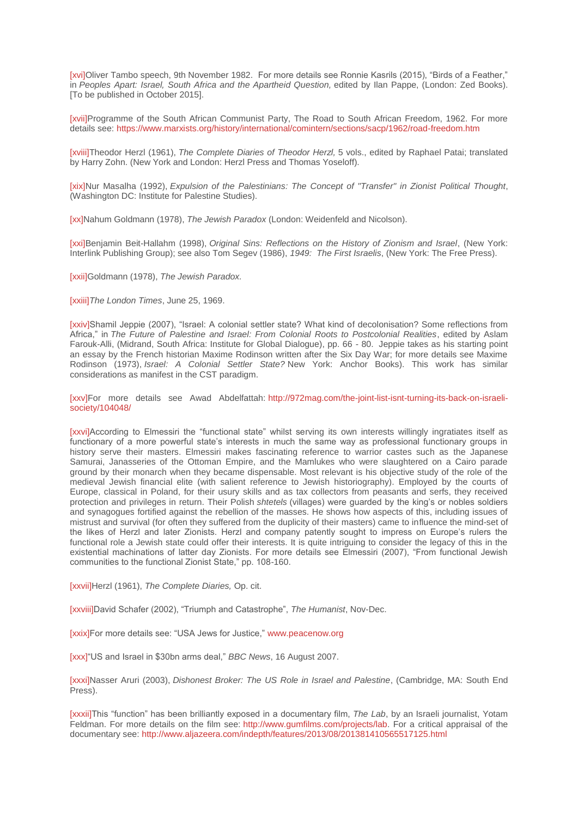[\[xvi\]O](file:///C:/Users/Gunda/AppData/Local/Microsoft/Windows/Temporary%20Internet%20Files/Content.Outlook/JKFQ5PMT/MEMO%20EDIT%20WHITHER%20PALESTINE.docx%23_ednref16)liver Tambo speech, 9th November 1982. For more details see Ronnie Kasrils (2015), "Birds of a Feather," in *Peoples Apart: Israel, South Africa and the Apartheid Question,* edited by Ilan Pappe, (London: Zed Books). [To be published in October 2015].

[\[xvii\]P](file:///C:/Users/Gunda/AppData/Local/Microsoft/Windows/Temporary%20Internet%20Files/Content.Outlook/JKFQ5PMT/MEMO%20EDIT%20WHITHER%20PALESTINE.docx%23_ednref17)rogramme of the South African Communist Party, The Road to South African Freedom, 1962. For more details see: <https://www.marxists.org/history/international/comintern/sections/sacp/1962/road-freedom.htm>

[\[xviii\]T](file:///C:/Users/Gunda/AppData/Local/Microsoft/Windows/Temporary%20Internet%20Files/Content.Outlook/JKFQ5PMT/MEMO%20EDIT%20WHITHER%20PALESTINE.docx%23_ednref18)heodor Herzl (1961), *The Complete Diaries of Theodor Herzl,* 5 vols., edited by Raphael Patai; translated by Harry Zohn. (New York and London: Herzl Press and Thomas Yoseloff).

[\[xix\]N](file:///C:/Users/Gunda/AppData/Local/Microsoft/Windows/Temporary%20Internet%20Files/Content.Outlook/JKFQ5PMT/MEMO%20EDIT%20WHITHER%20PALESTINE.docx%23_ednref19)ur Masalha (1992), *Expulsion of the Palestinians: The Concept of "Transfer" in Zionist Political Thought*, (Washington DC: Institute for Palestine Studies).

[\[xx\]N](file:///C:/Users/Gunda/AppData/Local/Microsoft/Windows/Temporary%20Internet%20Files/Content.Outlook/JKFQ5PMT/MEMO%20EDIT%20WHITHER%20PALESTINE.docx%23_ednref20)ahum Goldmann (1978), *The Jewish Paradox* (London: Weidenfeld and Nicolson).

[\[xxi\]B](file:///C:/Users/Gunda/AppData/Local/Microsoft/Windows/Temporary%20Internet%20Files/Content.Outlook/JKFQ5PMT/MEMO%20EDIT%20WHITHER%20PALESTINE.docx%23_ednref21)enjamin Beit-Hallahm (1998), *Original Sins: Reflections on the History of Zionism and Israel*, (New York: Interlink Publishing Group); see also Tom Segev (1986), *1949: The First Israelis*, (New York: The Free Press).

[\[xxii\]G](file:///C:/Users/Gunda/AppData/Local/Microsoft/Windows/Temporary%20Internet%20Files/Content.Outlook/JKFQ5PMT/MEMO%20EDIT%20WHITHER%20PALESTINE.docx%23_ednref22)oldmann (1978), *The Jewish Paradox.*

[\[xxiii\]](file:///C:/Users/Gunda/AppData/Local/Microsoft/Windows/Temporary%20Internet%20Files/Content.Outlook/JKFQ5PMT/MEMO%20EDIT%20WHITHER%20PALESTINE.docx%23_ednref23)*The London Times*, June 25, 1969.

[\[xxiv\]S](file:///C:/Users/Gunda/AppData/Local/Microsoft/Windows/Temporary%20Internet%20Files/Content.Outlook/JKFQ5PMT/MEMO%20EDIT%20WHITHER%20PALESTINE.docx%23_ednref24)hamil Jeppie (2007), "Israel: A colonial settler state? What kind of decolonisation? Some reflections from Africa," in *The Future of Palestine and Israel: From Colonial Roots to Postcolonial Realities*, edited by Aslam Farouk-Alli, (Midrand, South Africa: Institute for Global Dialogue), pp. 66 - 80. Jeppie takes as his starting point an essay by the French historian Maxime Rodinson written after the Six Day War; for more details see Maxime Rodinson (1973), *Israel: A Colonial Settler State?* New York: Anchor Books). This work has similar considerations as manifest in the CST paradigm.

[\[xxv\]F](file:///C:/Users/Gunda/AppData/Local/Microsoft/Windows/Temporary%20Internet%20Files/Content.Outlook/JKFQ5PMT/MEMO%20EDIT%20WHITHER%20PALESTINE.docx%23_ednref25)or more details see Awad Abdelfattah: [http://972mag.com/the-joint-list-isnt-turning-its-back-on-israeli](http://972mag.com/the-joint-list-isnt-turning-its-back-on-israeli-society/104048/)[society/104048/](http://972mag.com/the-joint-list-isnt-turning-its-back-on-israeli-society/104048/)

[\[xxvi\]A](file:///C:/Users/Gunda/AppData/Local/Microsoft/Windows/Temporary%20Internet%20Files/Content.Outlook/JKFQ5PMT/MEMO%20EDIT%20WHITHER%20PALESTINE.docx%23_ednref26)ccording to Elmessiri the "functional state" whilst serving its own interests willingly ingratiates itself as functionary of a more powerful state's interests in much the same way as professional functionary groups in history serve their masters. Elmessiri makes fascinating reference to warrior castes such as the Japanese Samurai, Janasseries of the Ottoman Empire, and the Mamlukes who were slaughtered on a Cairo parade ground by their monarch when they became dispensable. Most relevant is his objective study of the role of the medieval Jewish financial elite (with salient reference to Jewish historiography). Employed by the courts of Europe, classical in Poland, for their usury skills and as tax collectors from peasants and serfs, they received protection and privileges in return. Their Polish *shtetels* (villages) were guarded by the king's or nobles soldiers and synagogues fortified against the rebellion of the masses. He shows how aspects of this, including issues of mistrust and survival (for often they suffered from the duplicity of their masters) came to influence the mind-set of the likes of Herzl and later Zionists. Herzl and company patently sought to impress on Europe's rulers the functional role a Jewish state could offer their interests. It is quite intriguing to consider the legacy of this in the existential machinations of latter day Zionists. For more details see Elmessiri (2007), "From functional Jewish communities to the functional Zionist State," pp. 108-160.

[\[xxvii\]H](file:///C:/Users/Gunda/AppData/Local/Microsoft/Windows/Temporary%20Internet%20Files/Content.Outlook/JKFQ5PMT/MEMO%20EDIT%20WHITHER%20PALESTINE.docx%23_ednref27)erzl (1961), *The Complete Diaries,* Op. cit.

[\[xxviii\]D](file:///C:/Users/Gunda/AppData/Local/Microsoft/Windows/Temporary%20Internet%20Files/Content.Outlook/JKFQ5PMT/MEMO%20EDIT%20WHITHER%20PALESTINE.docx%23_ednref28)avid Schafer (2002), "Triumph and Catastrophe", *The Humanist*, Nov-Dec.

[\[xxix\]F](file:///C:/Users/Gunda/AppData/Local/Microsoft/Windows/Temporary%20Internet%20Files/Content.Outlook/JKFQ5PMT/MEMO%20EDIT%20WHITHER%20PALESTINE.docx%23_ednref29)or more details see: "USA Jews for Justice," [www.peacenow.org](http://www.peacenow.org/)

[\[xxx\]"](file:///C:/Users/Gunda/AppData/Local/Microsoft/Windows/Temporary%20Internet%20Files/Content.Outlook/JKFQ5PMT/MEMO%20EDIT%20WHITHER%20PALESTINE.docx%23_ednref30)US and Israel in \$30bn arms deal," *BBC News*, 16 August 2007.

[\[xxxi\]N](file:///C:/Users/Gunda/AppData/Local/Microsoft/Windows/Temporary%20Internet%20Files/Content.Outlook/JKFQ5PMT/MEMO%20EDIT%20WHITHER%20PALESTINE.docx%23_ednref31)asser Aruri (2003), *Dishonest Broker: The US Role in Israel and Palestine*, (Cambridge, MA: South End Press).

[\[xxxii\]T](file:///C:/Users/Gunda/AppData/Local/Microsoft/Windows/Temporary%20Internet%20Files/Content.Outlook/JKFQ5PMT/MEMO%20EDIT%20WHITHER%20PALESTINE.docx%23_ednref32)his "function" has been brilliantly exposed in a documentary film, *The Lab*, by an Israeli journalist, Yotam Feldman. For more details on the film see: [http://www.gumfilms.com/projects/lab.](http://www.gumfilms.com/projects/lab) For a critical appraisal of the documentary see: <http://www.aljazeera.com/indepth/features/2013/08/201381410565517125.html>